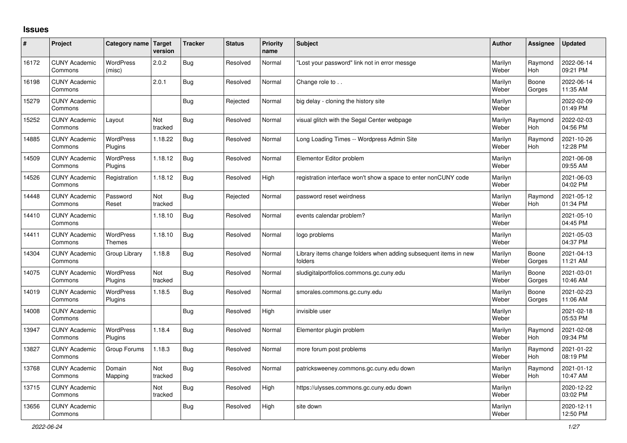## **Issues**

| #     | Project                         | Category name Target        | version        | <b>Tracker</b> | <b>Status</b> | Priority<br>name | <b>Subject</b>                                                              | <b>Author</b>    | Assignee              | <b>Updated</b>         |
|-------|---------------------------------|-----------------------------|----------------|----------------|---------------|------------------|-----------------------------------------------------------------------------|------------------|-----------------------|------------------------|
| 16172 | <b>CUNY Academic</b><br>Commons | <b>WordPress</b><br>(misc)  | 2.0.2          | Bug            | Resolved      | Normal           | 'Lost your password" link not in error messge                               | Marilyn<br>Weber | Raymond<br><b>Hoh</b> | 2022-06-14<br>09:21 PM |
| 16198 | <b>CUNY Academic</b><br>Commons |                             | 2.0.1          | Bug            | Resolved      | Normal           | Change role to                                                              | Marilyn<br>Weber | Boone<br>Gorges       | 2022-06-14<br>11:35 AM |
| 15279 | <b>CUNY Academic</b><br>Commons |                             |                | Bug            | Rejected      | Normal           | big delay - cloning the history site                                        | Marilyn<br>Weber |                       | 2022-02-09<br>01:49 PM |
| 15252 | <b>CUNY Academic</b><br>Commons | Layout                      | Not<br>tracked | Bug            | Resolved      | Normal           | visual glitch with the Segal Center webpage                                 | Marilyn<br>Weber | Raymond<br><b>Hoh</b> | 2022-02-03<br>04:56 PM |
| 14885 | <b>CUNY Academic</b><br>Commons | <b>WordPress</b><br>Plugins | 1.18.22        | <b>Bug</b>     | Resolved      | Normal           | Long Loading Times -- Wordpress Admin Site                                  | Marilyn<br>Weber | Raymond<br>Hoh        | 2021-10-26<br>12:28 PM |
| 14509 | <b>CUNY Academic</b><br>Commons | WordPress<br>Plugins        | 1.18.12        | Bug            | Resolved      | Normal           | Elementor Editor problem                                                    | Marilyn<br>Weber |                       | 2021-06-08<br>09:55 AM |
| 14526 | <b>CUNY Academic</b><br>Commons | Registration                | 1.18.12        | Bug            | Resolved      | High             | registration interface won't show a space to enter nonCUNY code             | Marilyn<br>Weber |                       | 2021-06-03<br>04:02 PM |
| 14448 | <b>CUNY Academic</b><br>Commons | Password<br>Reset           | Not<br>tracked | <b>Bug</b>     | Rejected      | Normal           | password reset weirdness                                                    | Marilyn<br>Weber | Raymond<br><b>Hoh</b> | 2021-05-12<br>01:34 PM |
| 14410 | <b>CUNY Academic</b><br>Commons |                             | 1.18.10        | <b>Bug</b>     | Resolved      | Normal           | events calendar problem?                                                    | Marilyn<br>Weber |                       | 2021-05-10<br>04:45 PM |
| 14411 | <b>CUNY Academic</b><br>Commons | <b>WordPress</b><br>Themes  | 1.18.10        | Bug            | Resolved      | Normal           | logo problems                                                               | Marilyn<br>Weber |                       | 2021-05-03<br>04:37 PM |
| 14304 | <b>CUNY Academic</b><br>Commons | Group Library               | 1.18.8         | Bug            | Resolved      | Normal           | Library items change folders when adding subsequent items in new<br>folders | Marilyn<br>Weber | Boone<br>Gorges       | 2021-04-13<br>11:21 AM |
| 14075 | <b>CUNY Academic</b><br>Commons | <b>WordPress</b><br>Plugins | Not<br>tracked | Bug            | Resolved      | Normal           | sludigitalportfolios.commons.gc.cuny.edu                                    | Marilyn<br>Weber | Boone<br>Gorges       | 2021-03-01<br>10:46 AM |
| 14019 | <b>CUNY Academic</b><br>Commons | <b>WordPress</b><br>Plugins | 1.18.5         | Bug            | Resolved      | Normal           | smorales.commons.gc.cuny.edu                                                | Marilyn<br>Weber | Boone<br>Gorges       | 2021-02-23<br>11:06 AM |
| 14008 | <b>CUNY Academic</b><br>Commons |                             |                | <b>Bug</b>     | Resolved      | High             | invisible user                                                              | Marilyn<br>Weber |                       | 2021-02-18<br>05:53 PM |
| 13947 | <b>CUNY Academic</b><br>Commons | WordPress<br>Plugins        | 1.18.4         | Bug            | Resolved      | Normal           | Elementor plugin problem                                                    | Marilyn<br>Weber | Raymond<br>Hoh        | 2021-02-08<br>09:34 PM |
| 13827 | <b>CUNY Academic</b><br>Commons | Group Forums                | 1.18.3         | Bug            | Resolved      | Normal           | more forum post problems                                                    | Marilyn<br>Weber | Raymond<br><b>Hoh</b> | 2021-01-22<br>08:19 PM |
| 13768 | <b>CUNY Academic</b><br>Commons | Domain<br>Mapping           | Not<br>tracked | Bug            | Resolved      | Normal           | patricksweeney.commons.gc.cuny.edu down                                     | Marilyn<br>Weber | Raymond<br><b>Hoh</b> | 2021-01-12<br>10:47 AM |
| 13715 | <b>CUNY Academic</b><br>Commons |                             | Not<br>tracked | Bug            | Resolved      | High             | https://ulysses.commons.gc.cuny.edu down                                    | Marilyn<br>Weber |                       | 2020-12-22<br>03:02 PM |
| 13656 | <b>CUNY Academic</b><br>Commons |                             |                | Bug            | Resolved      | High             | site down                                                                   | Marilyn<br>Weber |                       | 2020-12-11<br>12:50 PM |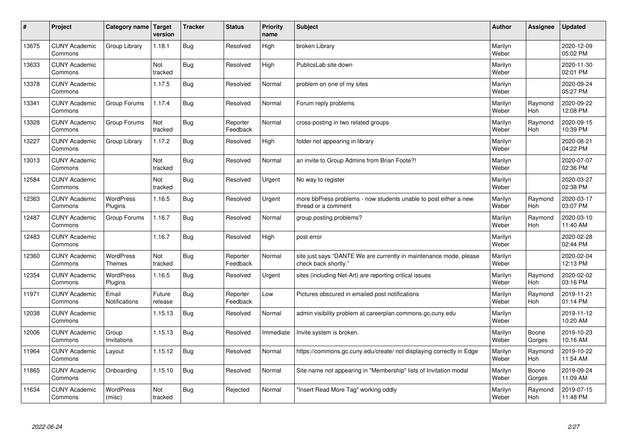| #     | Project                         | Category name   Target        | version           | <b>Tracker</b> | <b>Status</b>        | <b>Priority</b><br>name | <b>Subject</b>                                                                             | <b>Author</b>    | Assignee              | <b>Updated</b>         |
|-------|---------------------------------|-------------------------------|-------------------|----------------|----------------------|-------------------------|--------------------------------------------------------------------------------------------|------------------|-----------------------|------------------------|
| 13675 | <b>CUNY Academic</b><br>Commons | Group Library                 | 1.18.1            | Bug            | Resolved             | High                    | broken Library                                                                             | Marilyn<br>Weber |                       | 2020-12-09<br>05:02 PM |
| 13633 | <b>CUNY Academic</b><br>Commons |                               | Not<br>tracked    | Bug            | Resolved             | High                    | PublicsLab site down                                                                       | Marilyn<br>Weber |                       | 2020-11-30<br>02:01 PM |
| 13378 | <b>CUNY Academic</b><br>Commons |                               | 1.17.5            | Bug            | Resolved             | Normal                  | problem on one of my sites                                                                 | Marilyn<br>Weber |                       | 2020-09-24<br>05:27 PM |
| 13341 | <b>CUNY Academic</b><br>Commons | Group Forums                  | 1.17.4            | Bug            | Resolved             | Normal                  | Forum reply problems                                                                       | Marilyn<br>Weber | Raymond<br><b>Hoh</b> | 2020-09-22<br>12:08 PM |
| 13328 | <b>CUNY Academic</b><br>Commons | Group Forums                  | Not<br>tracked    | Bug            | Reporter<br>Feedback | Normal                  | cross-posting in two related groups                                                        | Marilyn<br>Weber | Raymond<br><b>Hoh</b> | 2020-09-15<br>10:39 PM |
| 13227 | <b>CUNY Academic</b><br>Commons | Group Library                 | 1.17.2            | Bug            | Resolved             | High                    | folder not appearing in library                                                            | Marilyn<br>Weber |                       | 2020-08-21<br>04:22 PM |
| 13013 | <b>CUNY Academic</b><br>Commons |                               | Not<br>tracked    | Bug            | Resolved             | Normal                  | an invite to Group Admins from Brian Foote?!                                               | Marilyn<br>Weber |                       | 2020-07-07<br>02:36 PM |
| 12584 | <b>CUNY Academic</b><br>Commons |                               | Not<br>tracked    | Bug            | Resolved             | Urgent                  | No way to register                                                                         | Marilyn<br>Weber |                       | 2020-03-27<br>02:38 PM |
| 12363 | <b>CUNY Academic</b><br>Commons | <b>WordPress</b><br>Plugins   | 1.16.5            | <b>Bug</b>     | Resolved             | Urgent                  | more bbPress problems - now students unable to post either a new<br>thread or a comment    | Marilyn<br>Weber | Raymond<br>Hoh        | 2020-03-17<br>03:07 PM |
| 12487 | <b>CUNY Academic</b><br>Commons | Group Forums                  | 1.16.7            | Bug            | Resolved             | Normal                  | group posting problems?                                                                    | Marilyn<br>Weber | Raymond<br><b>Hoh</b> | 2020-03-10<br>11:40 AM |
| 12483 | <b>CUNY Academic</b><br>Commons |                               | 1.16.7            | Bug            | Resolved             | High                    | post error                                                                                 | Marilyn<br>Weber |                       | 2020-02-28<br>02:44 PM |
| 12360 | <b>CUNY Academic</b><br>Commons | <b>WordPress</b><br>Themes    | Not<br>tracked    | Bug            | Reporter<br>Feedback | Normal                  | site just says "DANTE We are currently in maintenance mode, please<br>check back shortly." | Marilyn<br>Weber |                       | 2020-02-04<br>12:13 PM |
| 12354 | <b>CUNY Academic</b><br>Commons | <b>WordPress</b><br>Plugins   | 1.16.5            | Bug            | Resolved             | Urgent                  | sites (including Net-Art) are reporting critical issues                                    | Marilyn<br>Weber | Raymond<br>Hoh        | 2020-02-02<br>03:16 PM |
| 11971 | <b>CUNY Academic</b><br>Commons | Email<br><b>Notifications</b> | Future<br>release | Bug            | Reporter<br>Feedback | Low                     | Pictures obscured in emailed post notifications                                            | Marilyn<br>Weber | Raymond<br>Hoh        | 2019-11-21<br>01:14 PM |
| 12038 | <b>CUNY Academic</b><br>Commons |                               | 1.15.13           | Bug            | Resolved             | Normal                  | admin visibility problem at careerplan.commons.gc.cuny.edu                                 | Marilyn<br>Weber |                       | 2019-11-12<br>10:20 AM |
| 12006 | <b>CUNY Academic</b><br>Commons | Group<br>Invitations          | 1.15.13           | Bug            | Resolved             | Immediate               | Invite system is broken.                                                                   | Marilyn<br>Weber | Boone<br>Gorges       | 2019-10-23<br>10:16 AM |
| 11964 | <b>CUNY Academic</b><br>Commons | Layout                        | 1.15.12           | Bug            | Resolved             | Normal                  | https://commons.gc.cuny.edu/create/ not displaying correctly in Edge                       | Marilyn<br>Weber | Raymond<br>Hoh        | 2019-10-22<br>11:54 AM |
| 11865 | <b>CUNY Academic</b><br>Commons | Onboarding                    | 1.15.10           | Bug            | Resolved             | Normal                  | Site name not appearing in "Membership" lists of Invitation modal                          | Marilyn<br>Weber | Boone<br>Gorges       | 2019-09-24<br>11:09 AM |
| 11634 | <b>CUNY Academic</b><br>Commons | <b>WordPress</b><br>(misc)    | Not<br>tracked    | Bug            | Rejected             | Normal                  | 'Insert Read More Tag" working oddly                                                       | Marilyn<br>Weber | Raymond<br>Hoh        | 2019-07-15<br>11:48 PM |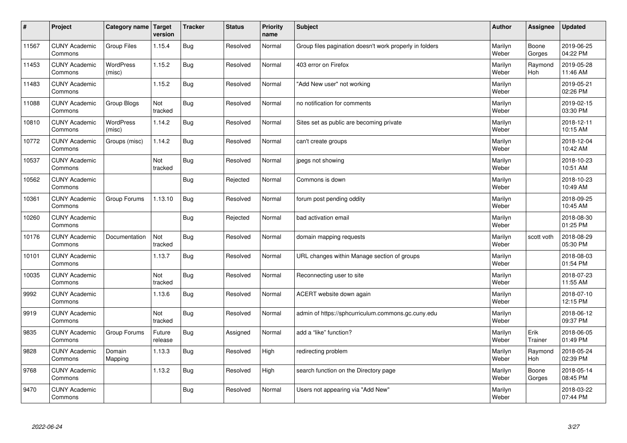| $\sharp$ | Project                         | Category name   Target     | version           | <b>Tracker</b> | <b>Status</b> | <b>Priority</b><br>name | <b>Subject</b>                                          | <b>Author</b>    | Assignee              | <b>Updated</b>         |
|----------|---------------------------------|----------------------------|-------------------|----------------|---------------|-------------------------|---------------------------------------------------------|------------------|-----------------------|------------------------|
| 11567    | <b>CUNY Academic</b><br>Commons | Group Files                | 1.15.4            | Bug            | Resolved      | Normal                  | Group files pagination doesn't work properly in folders | Marilyn<br>Weber | Boone<br>Gorges       | 2019-06-25<br>04:22 PM |
| 11453    | <b>CUNY Academic</b><br>Commons | <b>WordPress</b><br>(misc) | 1.15.2            | Bug            | Resolved      | Normal                  | 403 error on Firefox                                    | Marilyn<br>Weber | Raymond<br><b>Hoh</b> | 2019-05-28<br>11:46 AM |
| 11483    | <b>CUNY Academic</b><br>Commons |                            | 1.15.2            | Bug            | Resolved      | Normal                  | "Add New user" not working                              | Marilyn<br>Weber |                       | 2019-05-21<br>02:26 PM |
| 11088    | <b>CUNY Academic</b><br>Commons | Group Blogs                | Not<br>tracked    | Bug            | Resolved      | Normal                  | no notification for comments                            | Marilyn<br>Weber |                       | 2019-02-15<br>03:30 PM |
| 10810    | <b>CUNY Academic</b><br>Commons | <b>WordPress</b><br>(misc) | 1.14.2            | Bug            | Resolved      | Normal                  | Sites set as public are becoming private                | Marilyn<br>Weber |                       | 2018-12-11<br>10:15 AM |
| 10772    | <b>CUNY Academic</b><br>Commons | Groups (misc)              | 1.14.2            | Bug            | Resolved      | Normal                  | can't create groups                                     | Marilyn<br>Weber |                       | 2018-12-04<br>10:42 AM |
| 10537    | <b>CUNY Academic</b><br>Commons |                            | Not<br>tracked    | Bug            | Resolved      | Normal                  | jpegs not showing                                       | Marilyn<br>Weber |                       | 2018-10-23<br>10:51 AM |
| 10562    | <b>CUNY Academic</b><br>Commons |                            |                   | Bug            | Rejected      | Normal                  | Commons is down                                         | Marilyn<br>Weber |                       | 2018-10-23<br>10:49 AM |
| 10361    | <b>CUNY Academic</b><br>Commons | Group Forums               | 1.13.10           | Bug            | Resolved      | Normal                  | forum post pending oddity                               | Marilyn<br>Weber |                       | 2018-09-25<br>10:45 AM |
| 10260    | <b>CUNY Academic</b><br>Commons |                            |                   | Bug            | Rejected      | Normal                  | bad activation email                                    | Marilyn<br>Weber |                       | 2018-08-30<br>01:25 PM |
| 10176    | <b>CUNY Academic</b><br>Commons | Documentation              | Not<br>tracked    | Bug            | Resolved      | Normal                  | domain mapping requests                                 | Marilyn<br>Weber | scott voth            | 2018-08-29<br>05:30 PM |
| 10101    | <b>CUNY Academic</b><br>Commons |                            | 1.13.7            | <b>Bug</b>     | Resolved      | Normal                  | URL changes within Manage section of groups             | Marilyn<br>Weber |                       | 2018-08-03<br>01:54 PM |
| 10035    | <b>CUNY Academic</b><br>Commons |                            | Not<br>tracked    | Bug            | Resolved      | Normal                  | Reconnecting user to site                               | Marilyn<br>Weber |                       | 2018-07-23<br>11:55 AM |
| 9992     | <b>CUNY Academic</b><br>Commons |                            | 1.13.6            | Bug            | Resolved      | Normal                  | ACERT website down again                                | Marilyn<br>Weber |                       | 2018-07-10<br>12:15 PM |
| 9919     | <b>CUNY Academic</b><br>Commons |                            | Not<br>tracked    | Bug            | Resolved      | Normal                  | admin of https://sphcurriculum.commons.gc.cuny.edu      | Marilyn<br>Weber |                       | 2018-06-12<br>09:37 PM |
| 9835     | <b>CUNY Academic</b><br>Commons | Group Forums               | Future<br>release | Bug            | Assigned      | Normal                  | add a "like" function?                                  | Marilyn<br>Weber | Erik<br>Trainer       | 2018-06-05<br>01:49 PM |
| 9828     | <b>CUNY Academic</b><br>Commons | Domain<br>Mapping          | 1.13.3            | Bug            | Resolved      | High                    | redirecting problem                                     | Marilyn<br>Weber | Raymond<br><b>Hoh</b> | 2018-05-24<br>02:39 PM |
| 9768     | <b>CUNY Academic</b><br>Commons |                            | 1.13.2            | <b>Bug</b>     | Resolved      | High                    | search function on the Directory page                   | Marilyn<br>Weber | Boone<br>Gorges       | 2018-05-14<br>08:45 PM |
| 9470     | <b>CUNY Academic</b><br>Commons |                            |                   | Bug            | Resolved      | Normal                  | Users not appearing via "Add New"                       | Marilyn<br>Weber |                       | 2018-03-22<br>07:44 PM |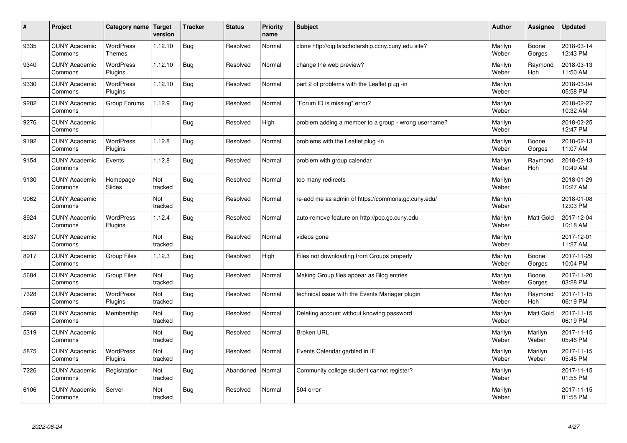| #    | Project                         | Category name   Target            | version        | <b>Tracker</b> | <b>Status</b> | Priority<br>name | <b>Subject</b>                                       | <b>Author</b>    | <b>Assignee</b>       | <b>Updated</b>         |
|------|---------------------------------|-----------------------------------|----------------|----------------|---------------|------------------|------------------------------------------------------|------------------|-----------------------|------------------------|
| 9335 | <b>CUNY Academic</b><br>Commons | <b>WordPress</b><br><b>Themes</b> | 1.12.10        | Bug            | Resolved      | Normal           | clone http://digitalscholarship.ccny.cuny.edu site?  | Marilyn<br>Weber | Boone<br>Gorges       | 2018-03-14<br>12:43 PM |
| 9340 | <b>CUNY Academic</b><br>Commons | <b>WordPress</b><br>Plugins       | 1.12.10        | Bug            | Resolved      | Normal           | change the web preview?                              | Marilyn<br>Weber | Raymond<br>Hoh        | 2018-03-13<br>11:50 AM |
| 9330 | <b>CUNY Academic</b><br>Commons | <b>WordPress</b><br>Plugins       | 1.12.10        | Bug            | Resolved      | Normal           | part 2 of problems with the Leaflet plug-in          | Marilyn<br>Weber |                       | 2018-03-04<br>05:58 PM |
| 9282 | <b>CUNY Academic</b><br>Commons | Group Forums                      | 1.12.9         | Bug            | Resolved      | Normal           | 'Forum ID is missing" error?                         | Marilyn<br>Weber |                       | 2018-02-27<br>10:32 AM |
| 9276 | <b>CUNY Academic</b><br>Commons |                                   |                | Bug            | Resolved      | High             | problem adding a member to a group - wrong username? | Marilyn<br>Weber |                       | 2018-02-25<br>12:47 PM |
| 9192 | <b>CUNY Academic</b><br>Commons | <b>WordPress</b><br>Plugins       | 1.12.8         | Bug            | Resolved      | Normal           | problems with the Leaflet plug -in                   | Marilyn<br>Weber | Boone<br>Gorges       | 2018-02-13<br>11:07 AM |
| 9154 | <b>CUNY Academic</b><br>Commons | Events                            | 1.12.8         | Bug            | Resolved      | Normal           | problem with group calendar                          | Marilyn<br>Weber | Raymond<br><b>Hoh</b> | 2018-02-13<br>10:49 AM |
| 9130 | <b>CUNY Academic</b><br>Commons | Homepage<br>Slides                | Not<br>tracked | Bug            | Resolved      | Normal           | too many redirects                                   | Marilyn<br>Weber |                       | 2018-01-29<br>10:27 AM |
| 9062 | <b>CUNY Academic</b><br>Commons |                                   | Not<br>tracked | Bug            | Resolved      | Normal           | re-add me as admin of https://commons.gc.cuny.edu/   | Marilyn<br>Weber |                       | 2018-01-08<br>12:03 PM |
| 8924 | <b>CUNY Academic</b><br>Commons | <b>WordPress</b><br>Plugins       | 1.12.4         | <b>Bug</b>     | Resolved      | Normal           | auto-remove feature on http://pcp.gc.cuny.edu        | Marilyn<br>Weber | Matt Gold             | 2017-12-04<br>10:18 AM |
| 8937 | <b>CUNY Academic</b><br>Commons |                                   | Not<br>tracked | Bug            | Resolved      | Normal           | videos gone                                          | Marilyn<br>Weber |                       | 2017-12-01<br>11:27 AM |
| 8917 | <b>CUNY Academic</b><br>Commons | <b>Group Files</b>                | 1.12.3         | Bug            | Resolved      | High             | Files not downloading from Groups properly           | Marilyn<br>Weber | Boone<br>Gorges       | 2017-11-29<br>10:04 PM |
| 5684 | <b>CUNY Academic</b><br>Commons | <b>Group Files</b>                | Not<br>tracked | Bug            | Resolved      | Normal           | Making Group files appear as Blog entries            | Marilyn<br>Weber | Boone<br>Gorges       | 2017-11-20<br>03:28 PM |
| 7328 | <b>CUNY Academic</b><br>Commons | WordPress<br>Plugins              | Not<br>tracked | Bug            | Resolved      | Normal           | technical issue with the Events Manager plugin       | Marilyn<br>Weber | Raymond<br><b>Hoh</b> | 2017-11-15<br>06:19 PM |
| 5968 | <b>CUNY Academic</b><br>Commons | Membership                        | Not<br>tracked | Bug            | Resolved      | Normal           | Deleting account without knowing password            | Marilyn<br>Weber | Matt Gold             | 2017-11-15<br>06:19 PM |
| 5319 | <b>CUNY Academic</b><br>Commons |                                   | Not<br>tracked | Bug            | Resolved      | Normal           | <b>Broken URL</b>                                    | Marilyn<br>Weber | Marilyn<br>Weber      | 2017-11-15<br>05:46 PM |
| 5875 | <b>CUNY Academic</b><br>Commons | WordPress<br>Plugins              | Not<br>tracked | Bug            | Resolved      | Normal           | Events Calendar garbled in IE                        | Marilyn<br>Weber | Marilyn<br>Weber      | 2017-11-15<br>05:45 PM |
| 7226 | <b>CUNY Academic</b><br>Commons | Registration                      | Not<br>tracked | Bug            | Abandoned     | Normal           | Community college student cannot register?           | Marilyn<br>Weber |                       | 2017-11-15<br>01:55 PM |
| 6106 | <b>CUNY Academic</b><br>Commons | Server                            | Not<br>tracked | Bug            | Resolved      | Normal           | 504 error                                            | Marilyn<br>Weber |                       | 2017-11-15<br>01:55 PM |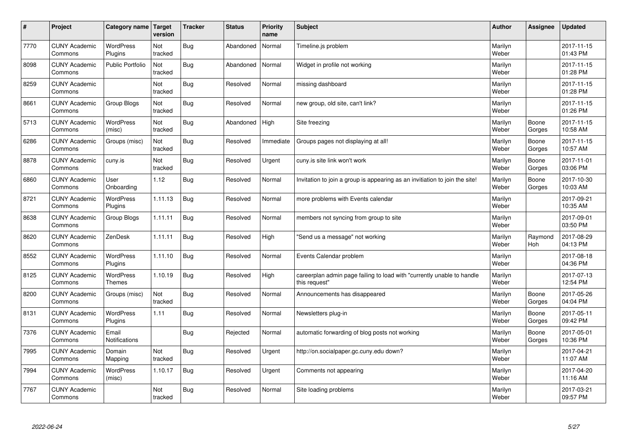| #    | Project                         | Category name   Target            | version        | <b>Tracker</b> | <b>Status</b> | Priority<br>name | <b>Subject</b>                                                                          | <b>Author</b>    | <b>Assignee</b>       | <b>Updated</b>         |
|------|---------------------------------|-----------------------------------|----------------|----------------|---------------|------------------|-----------------------------------------------------------------------------------------|------------------|-----------------------|------------------------|
| 7770 | <b>CUNY Academic</b><br>Commons | <b>WordPress</b><br>Plugins       | Not<br>tracked | Bug            | Abandoned     | Normal           | Timeline.js problem                                                                     | Marilyn<br>Weber |                       | 2017-11-15<br>01:43 PM |
| 8098 | <b>CUNY Academic</b><br>Commons | <b>Public Portfolio</b>           | Not<br>tracked | Bug            | Abandoned     | Normal           | Widget in profile not working                                                           | Marilyn<br>Weber |                       | 2017-11-15<br>01:28 PM |
| 8259 | <b>CUNY Academic</b><br>Commons |                                   | Not<br>tracked | Bug            | Resolved      | Normal           | missing dashboard                                                                       | Marilyn<br>Weber |                       | 2017-11-15<br>01:28 PM |
| 8661 | <b>CUNY Academic</b><br>Commons | Group Blogs                       | Not<br>tracked | Bug            | Resolved      | Normal           | new group, old site, can't link?                                                        | Marilyn<br>Weber |                       | 2017-11-15<br>01:26 PM |
| 5713 | <b>CUNY Academic</b><br>Commons | <b>WordPress</b><br>(misc)        | Not<br>tracked | Bug            | Abandoned     | High             | Site freezing                                                                           | Marilyn<br>Weber | Boone<br>Gorges       | 2017-11-15<br>10:58 AM |
| 6286 | <b>CUNY Academic</b><br>Commons | Groups (misc)                     | Not<br>tracked | Bug            | Resolved      | Immediate        | Groups pages not displaying at all!                                                     | Marilyn<br>Weber | Boone<br>Gorges       | 2017-11-15<br>10:57 AM |
| 8878 | <b>CUNY Academic</b><br>Commons | cuny.is                           | Not<br>tracked | Bug            | Resolved      | Urgent           | cuny is site link won't work                                                            | Marilyn<br>Weber | Boone<br>Gorges       | 2017-11-01<br>03:06 PM |
| 6860 | <b>CUNY Academic</b><br>Commons | User<br>Onboarding                | 1.12           | Bug            | Resolved      | Normal           | Invitation to join a group is appearing as an invitiation to join the site!             | Marilyn<br>Weber | Boone<br>Gorges       | 2017-10-30<br>10:03 AM |
| 8721 | <b>CUNY Academic</b><br>Commons | <b>WordPress</b><br>Plugins       | 1.11.13        | Bug            | Resolved      | Normal           | more problems with Events calendar                                                      | Marilyn<br>Weber |                       | 2017-09-21<br>10:35 AM |
| 8638 | <b>CUNY Academic</b><br>Commons | Group Blogs                       | 1.11.11        | Bug            | Resolved      | Normal           | members not syncing from group to site                                                  | Marilyn<br>Weber |                       | 2017-09-01<br>03:50 PM |
| 8620 | <b>CUNY Academic</b><br>Commons | ZenDesk                           | 1.11.11        | Bug            | Resolved      | High             | 'Send us a message" not working                                                         | Marilyn<br>Weber | Raymond<br><b>Hoh</b> | 2017-08-29<br>04:13 PM |
| 8552 | <b>CUNY Academic</b><br>Commons | <b>WordPress</b><br>Plugins       | 1.11.10        | Bug            | Resolved      | Normal           | Events Calendar problem                                                                 | Marilyn<br>Weber |                       | 2017-08-18<br>04:36 PM |
| 8125 | <b>CUNY Academic</b><br>Commons | <b>WordPress</b><br><b>Themes</b> | 1.10.19        | Bug            | Resolved      | High             | careerplan admin page failing to load with "currently unable to handle<br>this request" | Marilyn<br>Weber |                       | 2017-07-13<br>12:54 PM |
| 8200 | <b>CUNY Academic</b><br>Commons | Groups (misc)                     | Not<br>tracked | Bug            | Resolved      | Normal           | Announcements has disappeared                                                           | Marilyn<br>Weber | Boone<br>Gorges       | 2017-05-26<br>04:04 PM |
| 8131 | <b>CUNY Academic</b><br>Commons | <b>WordPress</b><br>Plugins       | 1.11           | Bug            | Resolved      | Normal           | Newsletters plug-in                                                                     | Marilyn<br>Weber | Boone<br>Gorges       | 2017-05-11<br>09:42 PM |
| 7376 | <b>CUNY Academic</b><br>Commons | Email<br><b>Notifications</b>     |                | Bug            | Rejected      | Normal           | automatic forwarding of blog posts not working                                          | Marilyn<br>Weber | Boone<br>Gorges       | 2017-05-01<br>10:36 PM |
| 7995 | <b>CUNY Academic</b><br>Commons | Domain<br>Mapping                 | Not<br>tracked | Bug            | Resolved      | Urgent           | http://on.socialpaper.gc.cuny.edu down?                                                 | Marilyn<br>Weber |                       | 2017-04-21<br>11:07 AM |
| 7994 | <b>CUNY Academic</b><br>Commons | WordPress<br>(misc)               | 1.10.17        | Bug            | Resolved      | Urgent           | Comments not appearing                                                                  | Marilyn<br>Weber |                       | 2017-04-20<br>11:16 AM |
| 7767 | <b>CUNY Academic</b><br>Commons |                                   | Not<br>tracked | Bug            | Resolved      | Normal           | Site loading problems                                                                   | Marilyn<br>Weber |                       | 2017-03-21<br>09:57 PM |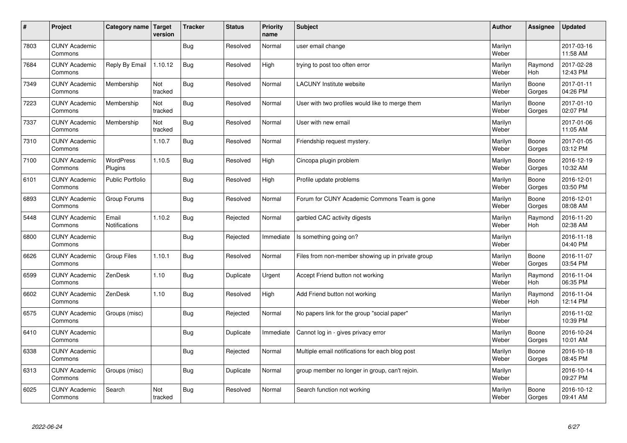| #    | Project                         | Category name   Target      | version        | <b>Tracker</b> | <b>Status</b> | <b>Priority</b><br>name | <b>Subject</b>                                    | <b>Author</b>    | Assignee        | <b>Updated</b>         |
|------|---------------------------------|-----------------------------|----------------|----------------|---------------|-------------------------|---------------------------------------------------|------------------|-----------------|------------------------|
| 7803 | <b>CUNY Academic</b><br>Commons |                             |                | Bug            | Resolved      | Normal                  | user email change                                 | Marilyn<br>Weber |                 | 2017-03-16<br>11:58 AM |
| 7684 | <b>CUNY Academic</b><br>Commons | Reply By Email              | 1.10.12        | Bug            | Resolved      | High                    | trying to post too often error                    | Marilyn<br>Weber | Raymond<br>Hoh  | 2017-02-28<br>12:43 PM |
| 7349 | <b>CUNY Academic</b><br>Commons | Membership                  | Not<br>tracked | <b>Bug</b>     | Resolved      | Normal                  | <b>LACUNY Institute website</b>                   | Marilyn<br>Weber | Boone<br>Gorges | 2017-01-11<br>04:26 PM |
| 7223 | <b>CUNY Academic</b><br>Commons | Membership                  | Not<br>tracked | <b>Bug</b>     | Resolved      | Normal                  | User with two profiles would like to merge them   | Marilyn<br>Weber | Boone<br>Gorges | 2017-01-10<br>02:07 PM |
| 7337 | <b>CUNY Academic</b><br>Commons | Membership                  | Not<br>tracked | Bug            | Resolved      | Normal                  | User with new email                               | Marilyn<br>Weber |                 | 2017-01-06<br>11:05 AM |
| 7310 | <b>CUNY Academic</b><br>Commons |                             | 1.10.7         | Bug            | Resolved      | Normal                  | Friendship request mystery.                       | Marilyn<br>Weber | Boone<br>Gorges | 2017-01-05<br>03:12 PM |
| 7100 | <b>CUNY Academic</b><br>Commons | <b>WordPress</b><br>Plugins | 1.10.5         | <b>Bug</b>     | Resolved      | High                    | Cincopa plugin problem                            | Marilyn<br>Weber | Boone<br>Gorges | 2016-12-19<br>10:32 AM |
| 6101 | <b>CUNY Academic</b><br>Commons | Public Portfolio            |                | Bug            | Resolved      | High                    | Profile update problems                           | Marilyn<br>Weber | Boone<br>Gorges | 2016-12-01<br>03:50 PM |
| 6893 | <b>CUNY Academic</b><br>Commons | Group Forums                |                | Bug            | Resolved      | Normal                  | Forum for CUNY Academic Commons Team is gone      | Marilyn<br>Weber | Boone<br>Gorges | 2016-12-01<br>08:08 AM |
| 5448 | <b>CUNY Academic</b><br>Commons | Email<br>Notifications      | 1.10.2         | Bug            | Rejected      | Normal                  | garbled CAC activity digests                      | Marilyn<br>Weber | Raymond<br>Hoh  | 2016-11-20<br>02:38 AM |
| 6800 | <b>CUNY Academic</b><br>Commons |                             |                | Bug            | Rejected      | Immediate               | Is something going on?                            | Marilyn<br>Weber |                 | 2016-11-18<br>04:40 PM |
| 6626 | <b>CUNY Academic</b><br>Commons | <b>Group Files</b>          | 1.10.1         | <b>Bug</b>     | Resolved      | Normal                  | Files from non-member showing up in private group | Marilyn<br>Weber | Boone<br>Gorges | 2016-11-07<br>03:54 PM |
| 6599 | <b>CUNY Academic</b><br>Commons | ZenDesk                     | 1.10           | Bug            | Duplicate     | Urgent                  | Accept Friend button not working                  | Marilyn<br>Weber | Raymond<br>Hoh  | 2016-11-04<br>06:35 PM |
| 6602 | <b>CUNY Academic</b><br>Commons | ZenDesk                     | 1.10           | Bug            | Resolved      | High                    | Add Friend button not working                     | Marilyn<br>Weber | Raymond<br>Hoh  | 2016-11-04<br>12:14 PM |
| 6575 | <b>CUNY Academic</b><br>Commons | Groups (misc)               |                | Bug            | Rejected      | Normal                  | No papers link for the group "social paper"       | Marilyn<br>Weber |                 | 2016-11-02<br>10:39 PM |
| 6410 | <b>CUNY Academic</b><br>Commons |                             |                | Bug            | Duplicate     | Immediate               | Cannot log in - gives privacy error               | Marilyn<br>Weber | Boone<br>Gorges | 2016-10-24<br>10:01 AM |
| 6338 | <b>CUNY Academic</b><br>Commons |                             |                | Bug            | Rejected      | Normal                  | Multiple email notifications for each blog post   | Marilyn<br>Weber | Boone<br>Gorges | 2016-10-18<br>08:45 PM |
| 6313 | <b>CUNY Academic</b><br>Commons | Groups (misc)               |                | Bug            | Duplicate     | Normal                  | group member no longer in group, can't rejoin.    | Marilyn<br>Weber |                 | 2016-10-14<br>09:27 PM |
| 6025 | <b>CUNY Academic</b><br>Commons | Search                      | Not<br>tracked | Bug            | Resolved      | Normal                  | Search function not working                       | Marilyn<br>Weber | Boone<br>Gorges | 2016-10-12<br>09:41 AM |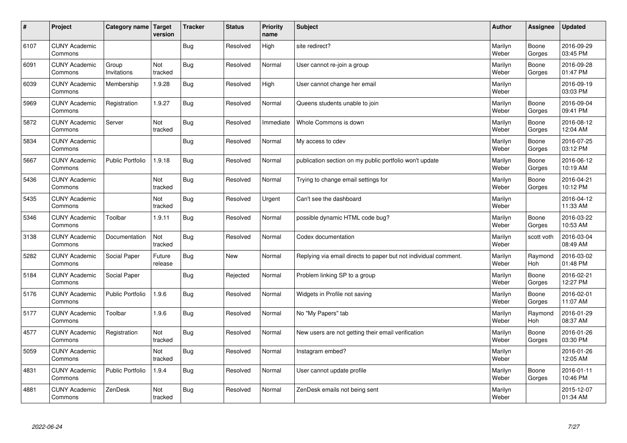| $\sharp$ | Project                         | Category name   Target  | version           | <b>Tracker</b> | <b>Status</b> | <b>Priority</b><br>name | <b>Subject</b>                                                  | <b>Author</b>    | Assignee              | <b>Updated</b>         |
|----------|---------------------------------|-------------------------|-------------------|----------------|---------------|-------------------------|-----------------------------------------------------------------|------------------|-----------------------|------------------------|
| 6107     | <b>CUNY Academic</b><br>Commons |                         |                   | Bug            | Resolved      | High                    | site redirect?                                                  | Marilyn<br>Weber | Boone<br>Gorges       | 2016-09-29<br>03:45 PM |
| 6091     | <b>CUNY Academic</b><br>Commons | Group<br>Invitations    | Not<br>tracked    | Bug            | Resolved      | Normal                  | User cannot re-join a group                                     | Marilyn<br>Weber | Boone<br>Gorges       | 2016-09-28<br>01:47 PM |
| 6039     | <b>CUNY Academic</b><br>Commons | Membership              | 1.9.28            | Bug            | Resolved      | High                    | User cannot change her email                                    | Marilyn<br>Weber |                       | 2016-09-19<br>03:03 PM |
| 5969     | <b>CUNY Academic</b><br>Commons | Registration            | 1.9.27            | <b>Bug</b>     | Resolved      | Normal                  | Queens students unable to join                                  | Marilyn<br>Weber | Boone<br>Gorges       | 2016-09-04<br>09:41 PM |
| 5872     | <b>CUNY Academic</b><br>Commons | Server                  | Not<br>tracked    | Bug            | Resolved      | Immediate               | Whole Commons is down                                           | Marilyn<br>Weber | Boone<br>Gorges       | 2016-08-12<br>12:04 AM |
| 5834     | <b>CUNY Academic</b><br>Commons |                         |                   | Bug            | Resolved      | Normal                  | My access to cdev                                               | Marilyn<br>Weber | Boone<br>Gorges       | 2016-07-25<br>03:12 PM |
| 5667     | <b>CUNY Academic</b><br>Commons | <b>Public Portfolio</b> | 1.9.18            | Bug            | Resolved      | Normal                  | publication section on my public portfolio won't update         | Marilyn<br>Weber | Boone<br>Gorges       | 2016-06-12<br>10:19 AM |
| 5436     | <b>CUNY Academic</b><br>Commons |                         | Not<br>tracked    | Bug            | Resolved      | Normal                  | Trying to change email settings for                             | Marilyn<br>Weber | Boone<br>Gorges       | 2016-04-21<br>10:12 PM |
| 5435     | <b>CUNY Academic</b><br>Commons |                         | Not<br>tracked    | Bug            | Resolved      | Urgent                  | Can't see the dashboard                                         | Marilyn<br>Weber |                       | 2016-04-12<br>11:33 AM |
| 5346     | <b>CUNY Academic</b><br>Commons | Toolbar                 | 1.9.11            | Bug            | Resolved      | Normal                  | possible dynamic HTML code bug?                                 | Marilyn<br>Weber | Boone<br>Gorges       | 2016-03-22<br>10:53 AM |
| 3138     | <b>CUNY Academic</b><br>Commons | Documentation           | Not<br>tracked    | Bug            | Resolved      | Normal                  | Codex documentation                                             | Marilyn<br>Weber | scott voth            | 2016-03-04<br>08:49 AM |
| 5282     | <b>CUNY Academic</b><br>Commons | Social Paper            | Future<br>release | Bug            | New           | Normal                  | Replying via email directs to paper but not individual comment. | Marilyn<br>Weber | Raymond<br><b>Hoh</b> | 2016-03-02<br>01:48 PM |
| 5184     | <b>CUNY Academic</b><br>Commons | Social Paper            |                   | Bug            | Rejected      | Normal                  | Problem linking SP to a group                                   | Marilyn<br>Weber | Boone<br>Gorges       | 2016-02-21<br>12:27 PM |
| 5176     | <b>CUNY Academic</b><br>Commons | <b>Public Portfolio</b> | 1.9.6             | <b>Bug</b>     | Resolved      | Normal                  | Widgets in Profile not saving                                   | Marilyn<br>Weber | Boone<br>Gorges       | 2016-02-01<br>11:07 AM |
| 5177     | <b>CUNY Academic</b><br>Commons | Toolbar                 | 1.9.6             | Bug            | Resolved      | Normal                  | No "My Papers" tab                                              | Marilyn<br>Weber | Raymond<br><b>Hoh</b> | 2016-01-29<br>08:37 AM |
| 4577     | <b>CUNY Academic</b><br>Commons | Registration            | Not<br>tracked    | <b>Bug</b>     | Resolved      | Normal                  | New users are not getting their email verification              | Marilyn<br>Weber | Boone<br>Gorges       | 2016-01-26<br>03:30 PM |
| 5059     | <b>CUNY Academic</b><br>Commons |                         | Not<br>tracked    | Bug            | Resolved      | Normal                  | Instagram embed?                                                | Marilyn<br>Weber |                       | 2016-01-26<br>12:05 AM |
| 4831     | <b>CUNY Academic</b><br>Commons | Public Portfolio        | 1.9.4             | Bug            | Resolved      | Normal                  | User cannot update profile                                      | Marilyn<br>Weber | Boone<br>Gorges       | 2016-01-11<br>10:46 PM |
| 4881     | <b>CUNY Academic</b><br>Commons | ZenDesk                 | Not<br>tracked    | Bug            | Resolved      | Normal                  | ZenDesk emails not being sent                                   | Marilyn<br>Weber |                       | 2015-12-07<br>01:34 AM |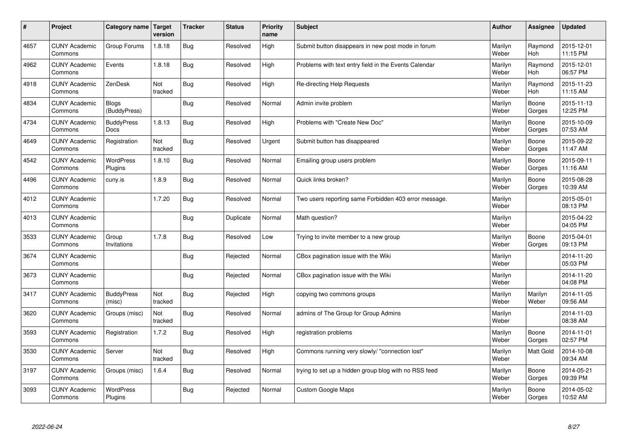| $\sharp$ | Project                         | Category name                | Target<br>version | <b>Tracker</b> | <b>Status</b> | <b>Priority</b><br>name | <b>Subject</b>                                        | <b>Author</b>    | Assignee              | <b>Updated</b>         |
|----------|---------------------------------|------------------------------|-------------------|----------------|---------------|-------------------------|-------------------------------------------------------|------------------|-----------------------|------------------------|
| 4657     | <b>CUNY Academic</b><br>Commons | Group Forums                 | 1.8.18            | Bug            | Resolved      | High                    | Submit button disappears in new post mode in forum    | Marilyn<br>Weber | Raymond<br><b>Hoh</b> | 2015-12-01<br>11:15 PM |
| 4962     | <b>CUNY Academic</b><br>Commons | Events                       | 1.8.18            | Bug            | Resolved      | High                    | Problems with text entry field in the Events Calendar | Marilyn<br>Weber | Raymond<br>Hoh        | 2015-12-01<br>06:57 PM |
| 4918     | <b>CUNY Academic</b><br>Commons | ZenDesk                      | Not<br>tracked    | Bug            | Resolved      | High                    | Re-directing Help Requests                            | Marilyn<br>Weber | Raymond<br><b>Hoh</b> | 2015-11-23<br>11:15 AM |
| 4834     | <b>CUNY Academic</b><br>Commons | <b>Blogs</b><br>(BuddyPress) |                   | Bug            | Resolved      | Normal                  | Admin invite problem                                  | Marilyn<br>Weber | Boone<br>Gorges       | 2015-11-13<br>12:25 PM |
| 4734     | <b>CUNY Academic</b><br>Commons | <b>BuddyPress</b><br>Docs    | 1.8.13            | Bug            | Resolved      | High                    | Problems with "Create New Doc"                        | Marilyn<br>Weber | Boone<br>Gorges       | 2015-10-09<br>07:53 AM |
| 4649     | <b>CUNY Academic</b><br>Commons | Registration                 | Not<br>tracked    | Bug            | Resolved      | Urgent                  | Submit button has disappeared                         | Marilyn<br>Weber | Boone<br>Gorges       | 2015-09-22<br>11:47 AM |
| 4542     | <b>CUNY Academic</b><br>Commons | WordPress<br>Plugins         | 1.8.10            | Bug            | Resolved      | Normal                  | Emailing group users problem                          | Marilyn<br>Weber | Boone<br>Gorges       | 2015-09-11<br>11:16 AM |
| 4496     | <b>CUNY Academic</b><br>Commons | cuny.is                      | 1.8.9             | Bug            | Resolved      | Normal                  | Quick links broken?                                   | Marilyn<br>Weber | Boone<br>Gorges       | 2015-08-28<br>10:39 AM |
| 4012     | <b>CUNY Academic</b><br>Commons |                              | 1.7.20            | Bug            | Resolved      | Normal                  | Two users reporting same Forbidden 403 error message. | Marilyn<br>Weber |                       | 2015-05-01<br>08:13 PM |
| 4013     | <b>CUNY Academic</b><br>Commons |                              |                   | Bug            | Duplicate     | Normal                  | Math question?                                        | Marilyn<br>Weber |                       | 2015-04-22<br>04:05 PM |
| 3533     | <b>CUNY Academic</b><br>Commons | Group<br>Invitations         | 1.7.8             | <b>Bug</b>     | Resolved      | Low                     | Trying to invite member to a new group                | Marilyn<br>Weber | Boone<br>Gorges       | 2015-04-01<br>09:13 PM |
| 3674     | <b>CUNY Academic</b><br>Commons |                              |                   | <b>Bug</b>     | Rejected      | Normal                  | CBox pagination issue with the Wiki                   | Marilyn<br>Weber |                       | 2014-11-20<br>05:03 PM |
| 3673     | <b>CUNY Academic</b><br>Commons |                              |                   | Bug            | Rejected      | Normal                  | CBox pagination issue with the Wiki                   | Marilyn<br>Weber |                       | 2014-11-20<br>04:08 PM |
| 3417     | <b>CUNY Academic</b><br>Commons | <b>BuddyPress</b><br>(misc)  | Not<br>tracked    | Bug            | Rejected      | High                    | copying two commons groups                            | Marilyn<br>Weber | Marilyn<br>Weber      | 2014-11-05<br>09:56 AM |
| 3620     | <b>CUNY Academic</b><br>Commons | Groups (misc)                | Not<br>tracked    | <b>Bug</b>     | Resolved      | Normal                  | admins of The Group for Group Admins                  | Marilyn<br>Weber |                       | 2014-11-03<br>08:38 AM |
| 3593     | <b>CUNY Academic</b><br>Commons | Registration                 | 1.7.2             | Bug            | Resolved      | High                    | registration problems                                 | Marilyn<br>Weber | Boone<br>Gorges       | 2014-11-01<br>02:57 PM |
| 3530     | <b>CUNY Academic</b><br>Commons | Server                       | Not<br>tracked    | Bug            | Resolved      | High                    | Commons running very slowly/ "connection lost"        | Marilyn<br>Weber | <b>Matt Gold</b>      | 2014-10-08<br>09:34 AM |
| 3197     | <b>CUNY Academic</b><br>Commons | Groups (misc)                | 1.6.4             | <b>Bug</b>     | Resolved      | Normal                  | trying to set up a hidden group blog with no RSS feed | Marilyn<br>Weber | Boone<br>Gorges       | 2014-05-21<br>09:39 PM |
| 3093     | <b>CUNY Academic</b><br>Commons | <b>WordPress</b><br>Plugins  |                   | Bug            | Rejected      | Normal                  | <b>Custom Google Maps</b>                             | Marilyn<br>Weber | Boone<br>Gorges       | 2014-05-02<br>10:52 AM |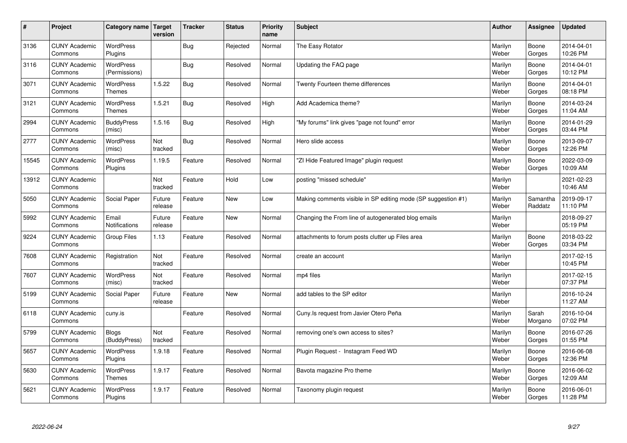| $\sharp$ | Project                         | Category name   Target            | version           | <b>Tracker</b> | <b>Status</b> | <b>Priority</b><br>name | <b>Subject</b>                                                | <b>Author</b>    | Assignee            | <b>Updated</b>         |
|----------|---------------------------------|-----------------------------------|-------------------|----------------|---------------|-------------------------|---------------------------------------------------------------|------------------|---------------------|------------------------|
| 3136     | <b>CUNY Academic</b><br>Commons | <b>WordPress</b><br>Plugins       |                   | Bug            | Rejected      | Normal                  | The Easy Rotator                                              | Marilyn<br>Weber | Boone<br>Gorges     | 2014-04-01<br>10:26 PM |
| 3116     | <b>CUNY Academic</b><br>Commons | WordPress<br>(Permissions)        |                   | Bug            | Resolved      | Normal                  | Updating the FAQ page                                         | Marilyn<br>Weber | Boone<br>Gorges     | 2014-04-01<br>10:12 PM |
| 3071     | <b>CUNY Academic</b><br>Commons | <b>WordPress</b><br><b>Themes</b> | 1.5.22            | Bug            | Resolved      | Normal                  | Twenty Fourteen theme differences                             | Marilyn<br>Weber | Boone<br>Gorges     | 2014-04-01<br>08:18 PM |
| 3121     | <b>CUNY Academic</b><br>Commons | <b>WordPress</b><br><b>Themes</b> | 1.5.21            | Bug            | Resolved      | High                    | Add Academica theme?                                          | Marilyn<br>Weber | Boone<br>Gorges     | 2014-03-24<br>11:04 AM |
| 2994     | <b>CUNY Academic</b><br>Commons | <b>BuddyPress</b><br>(misc)       | 1.5.16            | Bug            | Resolved      | High                    | "My forums" link gives "page not found" error                 | Marilyn<br>Weber | Boone<br>Gorges     | 2014-01-29<br>03:44 PM |
| 2777     | <b>CUNY Academic</b><br>Commons | WordPress<br>(misc)               | Not<br>tracked    | Bug            | Resolved      | Normal                  | Hero slide access                                             | Marilyn<br>Weber | Boone<br>Gorges     | 2013-09-07<br>12:26 PM |
| 15545    | <b>CUNY Academic</b><br>Commons | WordPress<br>Plugins              | 1.19.5            | Feature        | Resolved      | Normal                  | 'ZI Hide Featured Image" plugin request                       | Marilyn<br>Weber | Boone<br>Gorges     | 2022-03-09<br>10:09 AM |
| 13912    | <b>CUNY Academic</b><br>Commons |                                   | Not<br>tracked    | Feature        | Hold          | Low                     | posting "missed schedule"                                     | Marilyn<br>Weber |                     | 2021-02-23<br>10:46 AM |
| 5050     | <b>CUNY Academic</b><br>Commons | Social Paper                      | Future<br>release | Feature        | <b>New</b>    | Low                     | Making comments visible in SP editing mode (SP suggestion #1) | Marilyn<br>Weber | Samantha<br>Raddatz | 2019-09-17<br>11:10 PM |
| 5992     | <b>CUNY Academic</b><br>Commons | Email<br><b>Notifications</b>     | Future<br>release | Feature        | <b>New</b>    | Normal                  | Changing the From line of autogenerated blog emails           | Marilyn<br>Weber |                     | 2018-09-27<br>05:19 PM |
| 9224     | <b>CUNY Academic</b><br>Commons | Group Files                       | 1.13              | Feature        | Resolved      | Normal                  | attachments to forum posts clutter up Files area              | Marilyn<br>Weber | Boone<br>Gorges     | 2018-03-22<br>03:34 PM |
| 7608     | <b>CUNY Academic</b><br>Commons | Registration                      | Not<br>tracked    | Feature        | Resolved      | Normal                  | create an account                                             | Marilyn<br>Weber |                     | 2017-02-15<br>10:45 PM |
| 7607     | <b>CUNY Academic</b><br>Commons | WordPress<br>(misc)               | Not<br>tracked    | Feature        | Resolved      | Normal                  | mp4 files                                                     | Marilyn<br>Weber |                     | 2017-02-15<br>07:37 PM |
| 5199     | <b>CUNY Academic</b><br>Commons | Social Paper                      | Future<br>release | Feature        | New           | Normal                  | add tables to the SP editor                                   | Marilyn<br>Weber |                     | 2016-10-24<br>11:27 AM |
| 6118     | <b>CUNY Academic</b><br>Commons | cuny.is                           |                   | Feature        | Resolved      | Normal                  | Cuny.Is request from Javier Otero Peña                        | Marilyn<br>Weber | Sarah<br>Morgano    | 2016-10-04<br>07:02 PM |
| 5799     | <b>CUNY Academic</b><br>Commons | <b>Blogs</b><br>(BuddyPress)      | Not<br>tracked    | Feature        | Resolved      | Normal                  | removing one's own access to sites?                           | Marilyn<br>Weber | Boone<br>Gorges     | 2016-07-26<br>01:55 PM |
| 5657     | <b>CUNY Academic</b><br>Commons | WordPress<br>Plugins              | 1.9.18            | Feature        | Resolved      | Normal                  | Plugin Request - Instagram Feed WD                            | Marilyn<br>Weber | Boone<br>Gorges     | 2016-06-08<br>12:36 PM |
| 5630     | <b>CUNY Academic</b><br>Commons | WordPress<br><b>Themes</b>        | 1.9.17            | Feature        | Resolved      | Normal                  | Bavota magazine Pro theme                                     | Marilyn<br>Weber | Boone<br>Gorges     | 2016-06-02<br>12:09 AM |
| 5621     | <b>CUNY Academic</b><br>Commons | <b>WordPress</b><br>Plugins       | 1.9.17            | Feature        | Resolved      | Normal                  | Taxonomy plugin request                                       | Marilyn<br>Weber | Boone<br>Gorges     | 2016-06-01<br>11:28 PM |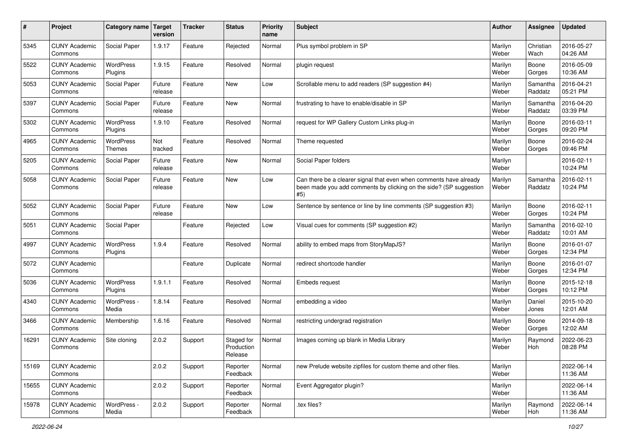| $\#$  | Project                         | <b>Category name</b> | Target<br>version | <b>Tracker</b> | <b>Status</b>                       | <b>Priority</b><br>name | <b>Subject</b>                                                                                                                                  | <b>Author</b>    | <b>Assignee</b>     | <b>Updated</b>         |
|-------|---------------------------------|----------------------|-------------------|----------------|-------------------------------------|-------------------------|-------------------------------------------------------------------------------------------------------------------------------------------------|------------------|---------------------|------------------------|
| 5345  | <b>CUNY Academic</b><br>Commons | Social Paper         | 1.9.17            | Feature        | Rejected                            | Normal                  | Plus symbol problem in SP                                                                                                                       | Marilyn<br>Weber | Christian<br>Wach   | 2016-05-27<br>04:26 AM |
| 5522  | <b>CUNY Academic</b><br>Commons | WordPress<br>Plugins | 1.9.15            | Feature        | Resolved                            | Normal                  | plugin request                                                                                                                                  | Marilyn<br>Weber | Boone<br>Gorges     | 2016-05-09<br>10:36 AM |
| 5053  | <b>CUNY Academic</b><br>Commons | Social Paper         | Future<br>release | Feature        | New                                 | Low                     | Scrollable menu to add readers (SP suggestion #4)                                                                                               | Marilyn<br>Weber | Samantha<br>Raddatz | 2016-04-21<br>05:21 PM |
| 5397  | <b>CUNY Academic</b><br>Commons | Social Paper         | Future<br>release | Feature        | New                                 | Normal                  | frustrating to have to enable/disable in SP                                                                                                     | Marilyn<br>Weber | Samantha<br>Raddatz | 2016-04-20<br>03:39 PM |
| 5302  | <b>CUNY Academic</b><br>Commons | WordPress<br>Plugins | 1.9.10            | Feature        | Resolved                            | Normal                  | request for WP Gallery Custom Links plug-in                                                                                                     | Marilyn<br>Weber | Boone<br>Gorges     | 2016-03-11<br>09:20 PM |
| 4965  | <b>CUNY Academic</b><br>Commons | WordPress<br>Themes  | Not<br>tracked    | Feature        | Resolved                            | Normal                  | Theme requested                                                                                                                                 | Marilyn<br>Weber | Boone<br>Gorges     | 2016-02-24<br>09:46 PM |
| 5205  | <b>CUNY Academic</b><br>Commons | Social Paper         | Future<br>release | Feature        | New                                 | Normal                  | Social Paper folders                                                                                                                            | Marilyn<br>Weber |                     | 2016-02-11<br>10:24 PM |
| 5058  | <b>CUNY Academic</b><br>Commons | Social Paper         | Future<br>release | Feature        | New                                 | Low                     | Can there be a clearer signal that even when comments have already<br>been made you add comments by clicking on the side? (SP suggestion<br>#5) | Marilyn<br>Weber | Samantha<br>Raddatz | 2016-02-11<br>10:24 PM |
| 5052  | <b>CUNY Academic</b><br>Commons | Social Paper         | Future<br>release | Feature        | New                                 | Low                     | Sentence by sentence or line by line comments (SP suggestion #3)                                                                                | Marilyn<br>Weber | Boone<br>Gorges     | 2016-02-11<br>10:24 PM |
| 5051  | <b>CUNY Academic</b><br>Commons | Social Paper         |                   | Feature        | Rejected                            | Low                     | Visual cues for comments (SP suggestion #2)                                                                                                     | Marilyn<br>Weber | Samantha<br>Raddatz | 2016-02-10<br>10:01 AM |
| 4997  | <b>CUNY Academic</b><br>Commons | WordPress<br>Plugins | 1.9.4             | Feature        | Resolved                            | Normal                  | ability to embed maps from StoryMapJS?                                                                                                          | Marilyn<br>Weber | Boone<br>Gorges     | 2016-01-07<br>12:34 PM |
| 5072  | <b>CUNY Academic</b><br>Commons |                      |                   | Feature        | Duplicate                           | Normal                  | redirect shortcode handler                                                                                                                      | Marilyn<br>Weber | Boone<br>Gorges     | 2016-01-07<br>12:34 PM |
| 5036  | <b>CUNY Academic</b><br>Commons | WordPress<br>Plugins | 1.9.1.1           | Feature        | Resolved                            | Normal                  | Embeds request                                                                                                                                  | Marilyn<br>Weber | Boone<br>Gorges     | 2015-12-18<br>10:12 PM |
| 4340  | <b>CUNY Academic</b><br>Commons | WordPress -<br>Media | 1.8.14            | Feature        | Resolved                            | Normal                  | embedding a video                                                                                                                               | Marilyn<br>Weber | Daniel<br>Jones     | 2015-10-20<br>12:01 AM |
| 3466  | <b>CUNY Academic</b><br>Commons | Membership           | 1.6.16            | Feature        | Resolved                            | Normal                  | restricting undergrad registration                                                                                                              | Marilyn<br>Weber | Boone<br>Gorges     | 2014-09-18<br>12:02 AM |
| 16291 | <b>CUNY Academic</b><br>Commons | Site cloning         | 2.0.2             | Support        | Staged for<br>Production<br>Release | Normal                  | Images coming up blank in Media Library                                                                                                         | Marilyn<br>Weber | Raymond<br>Hoh      | 2022-06-23<br>08:28 PM |
| 15169 | <b>CUNY Academic</b><br>Commons |                      | 2.0.2             | Support        | Reporter<br>Feedback                | Normal                  | new Prelude website zipfiles for custom theme and other files.                                                                                  | Marilyn<br>Weber |                     | 2022-06-14<br>11:36 AM |
| 15655 | <b>CUNY Academic</b><br>Commons |                      | 2.0.2             | Support        | Reporter<br>Feedback                | Normal                  | Event Aggregator plugin?                                                                                                                        | Marilyn<br>Weber |                     | 2022-06-14<br>11:36 AM |
| 15978 | <b>CUNY Academic</b><br>Commons | WordPress -<br>Media | 2.0.2             | Support        | Reporter<br>Feedback                | Normal                  | .tex files?                                                                                                                                     | Marilyn<br>Weber | Raymond<br>Hoh      | 2022-06-14<br>11:36 AM |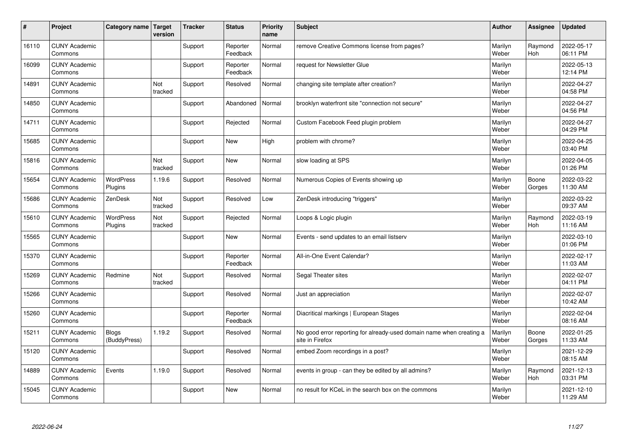| $\vert$ # | Project                         | Category name   Target       | version        | <b>Tracker</b> | <b>Status</b>        | <b>Priority</b><br>name | <b>Subject</b>                                                                          | <b>Author</b>    | Assignee              | <b>Updated</b>         |
|-----------|---------------------------------|------------------------------|----------------|----------------|----------------------|-------------------------|-----------------------------------------------------------------------------------------|------------------|-----------------------|------------------------|
| 16110     | <b>CUNY Academic</b><br>Commons |                              |                | Support        | Reporter<br>Feedback | Normal                  | remove Creative Commons license from pages?                                             | Marilyn<br>Weber | Raymond<br><b>Hoh</b> | 2022-05-17<br>06:11 PM |
| 16099     | <b>CUNY Academic</b><br>Commons |                              |                | Support        | Reporter<br>Feedback | Normal                  | request for Newsletter Glue                                                             | Marilyn<br>Weber |                       | 2022-05-13<br>12:14 PM |
| 14891     | <b>CUNY Academic</b><br>Commons |                              | Not<br>tracked | Support        | Resolved             | Normal                  | changing site template after creation?                                                  | Marilyn<br>Weber |                       | 2022-04-27<br>04:58 PM |
| 14850     | <b>CUNY Academic</b><br>Commons |                              |                | Support        | Abandoned            | Normal                  | brooklyn waterfront site "connection not secure"                                        | Marilyn<br>Weber |                       | 2022-04-27<br>04:56 PM |
| 14711     | <b>CUNY Academic</b><br>Commons |                              |                | Support        | Rejected             | Normal                  | Custom Facebook Feed plugin problem                                                     | Marilyn<br>Weber |                       | 2022-04-27<br>04:29 PM |
| 15685     | <b>CUNY Academic</b><br>Commons |                              |                | Support        | <b>New</b>           | High                    | problem with chrome?                                                                    | Marilyn<br>Weber |                       | 2022-04-25<br>03:40 PM |
| 15816     | <b>CUNY Academic</b><br>Commons |                              | Not<br>tracked | Support        | <b>New</b>           | Normal                  | slow loading at SPS                                                                     | Marilyn<br>Weber |                       | 2022-04-05<br>01:26 PM |
| 15654     | <b>CUNY Academic</b><br>Commons | <b>WordPress</b><br>Plugins  | 1.19.6         | Support        | Resolved             | Normal                  | Numerous Copies of Events showing up                                                    | Marilyn<br>Weber | Boone<br>Gorges       | 2022-03-22<br>11:30 AM |
| 15686     | <b>CUNY Academic</b><br>Commons | ZenDesk                      | Not<br>tracked | Support        | Resolved             | Low                     | ZenDesk introducing "triggers"                                                          | Marilyn<br>Weber |                       | 2022-03-22<br>09:37 AM |
| 15610     | <b>CUNY Academic</b><br>Commons | WordPress<br>Plugins         | Not<br>tracked | Support        | Rejected             | Normal                  | Loops & Logic plugin                                                                    | Marilyn<br>Weber | Raymond<br>Hoh        | 2022-03-19<br>11:16 AM |
| 15565     | <b>CUNY Academic</b><br>Commons |                              |                | Support        | <b>New</b>           | Normal                  | Events - send updates to an email listserv                                              | Marilyn<br>Weber |                       | 2022-03-10<br>01:06 PM |
| 15370     | <b>CUNY Academic</b><br>Commons |                              |                | Support        | Reporter<br>Feedback | Normal                  | All-in-One Event Calendar?                                                              | Marilyn<br>Weber |                       | 2022-02-17<br>11:03 AM |
| 15269     | <b>CUNY Academic</b><br>Commons | Redmine                      | Not<br>tracked | Support        | Resolved             | Normal                  | Segal Theater sites                                                                     | Marilyn<br>Weber |                       | 2022-02-07<br>04:11 PM |
| 15266     | <b>CUNY Academic</b><br>Commons |                              |                | Support        | Resolved             | Normal                  | Just an appreciation                                                                    | Marilyn<br>Weber |                       | 2022-02-07<br>10:42 AM |
| 15260     | <b>CUNY Academic</b><br>Commons |                              |                | Support        | Reporter<br>Feedback | Normal                  | Diacritical markings   European Stages                                                  | Marilyn<br>Weber |                       | 2022-02-04<br>08:16 AM |
| 15211     | <b>CUNY Academic</b><br>Commons | <b>Blogs</b><br>(BuddyPress) | 1.19.2         | Support        | Resolved             | Normal                  | No good error reporting for already-used domain name when creating a<br>site in Firefox | Marilyn<br>Weber | Boone<br>Gorges       | 2022-01-25<br>11:33 AM |
| 15120     | <b>CUNY Academic</b><br>Commons |                              |                | Support        | Resolved             | Normal                  | embed Zoom recordings in a post?                                                        | Marilyn<br>Weber |                       | 2021-12-29<br>08:15 AM |
| 14889     | <b>CUNY Academic</b><br>Commons | Events                       | 1.19.0         | Support        | Resolved             | Normal                  | events in group - can they be edited by all admins?                                     | Marilyn<br>Weber | Raymond<br>Hoh        | 2021-12-13<br>03:31 PM |
| 15045     | <b>CUNY Academic</b><br>Commons |                              |                | Support        | <b>New</b>           | Normal                  | no result for KCeL in the search box on the commons                                     | Marilyn<br>Weber |                       | 2021-12-10<br>11:29 AM |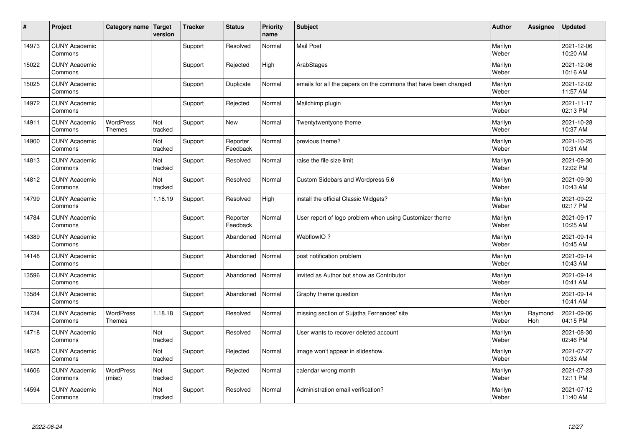| #     | Project                         | Category name   Target            | version        | <b>Tracker</b> | <b>Status</b>        | <b>Priority</b><br>name | <b>Subject</b>                                                  | <b>Author</b>    | <b>Assignee</b> | <b>Updated</b>         |
|-------|---------------------------------|-----------------------------------|----------------|----------------|----------------------|-------------------------|-----------------------------------------------------------------|------------------|-----------------|------------------------|
| 14973 | <b>CUNY Academic</b><br>Commons |                                   |                | Support        | Resolved             | Normal                  | <b>Mail Poet</b>                                                | Marilyn<br>Weber |                 | 2021-12-06<br>10:20 AM |
| 15022 | <b>CUNY Academic</b><br>Commons |                                   |                | Support        | Rejected             | High                    | ArabStages                                                      | Marilyn<br>Weber |                 | 2021-12-06<br>10:16 AM |
| 15025 | <b>CUNY Academic</b><br>Commons |                                   |                | Support        | Duplicate            | Normal                  | emails for all the papers on the commons that have been changed | Marilyn<br>Weber |                 | 2021-12-02<br>11:57 AM |
| 14972 | <b>CUNY Academic</b><br>Commons |                                   |                | Support        | Rejected             | Normal                  | Mailchimp plugin                                                | Marilyn<br>Weber |                 | 2021-11-17<br>02:13 PM |
| 14911 | <b>CUNY Academic</b><br>Commons | <b>WordPress</b><br><b>Themes</b> | Not<br>tracked | Support        | <b>New</b>           | Normal                  | Twentytwentyone theme                                           | Marilyn<br>Weber |                 | 2021-10-28<br>10:37 AM |
| 14900 | <b>CUNY Academic</b><br>Commons |                                   | Not<br>tracked | Support        | Reporter<br>Feedback | Normal                  | previous theme?                                                 | Marilyn<br>Weber |                 | 2021-10-25<br>10:31 AM |
| 14813 | <b>CUNY Academic</b><br>Commons |                                   | Not<br>tracked | Support        | Resolved             | Normal                  | raise the file size limit                                       | Marilyn<br>Weber |                 | 2021-09-30<br>12:02 PM |
| 14812 | <b>CUNY Academic</b><br>Commons |                                   | Not<br>tracked | Support        | Resolved             | Normal                  | Custom Sidebars and Wordpress 5.6                               | Marilyn<br>Weber |                 | 2021-09-30<br>10:43 AM |
| 14799 | <b>CUNY Academic</b><br>Commons |                                   | 1.18.19        | Support        | Resolved             | High                    | install the official Classic Widgets?                           | Marilyn<br>Weber |                 | 2021-09-22<br>02:17 PM |
| 14784 | <b>CUNY Academic</b><br>Commons |                                   |                | Support        | Reporter<br>Feedback | Normal                  | User report of logo problem when using Customizer theme         | Marilyn<br>Weber |                 | 2021-09-17<br>10:25 AM |
| 14389 | <b>CUNY Academic</b><br>Commons |                                   |                | Support        | Abandoned            | Normal                  | WebflowIO?                                                      | Marilyn<br>Weber |                 | 2021-09-14<br>10:45 AM |
| 14148 | <b>CUNY Academic</b><br>Commons |                                   |                | Support        | Abandoned            | Normal                  | post notification problem                                       | Marilyn<br>Weber |                 | 2021-09-14<br>10:43 AM |
| 13596 | <b>CUNY Academic</b><br>Commons |                                   |                | Support        | Abandoned            | Normal                  | invited as Author but show as Contributor                       | Marilyn<br>Weber |                 | 2021-09-14<br>10:41 AM |
| 13584 | <b>CUNY Academic</b><br>Commons |                                   |                | Support        | Abandoned            | Normal                  | Graphy theme question                                           | Marilyn<br>Weber |                 | 2021-09-14<br>10:41 AM |
| 14734 | <b>CUNY Academic</b><br>Commons | <b>WordPress</b><br><b>Themes</b> | 1.18.18        | Support        | Resolved             | Normal                  | missing section of Sujatha Fernandes' site                      | Marilyn<br>Weber | Raymond<br>Hoh  | 2021-09-06<br>04:15 PM |
| 14718 | <b>CUNY Academic</b><br>Commons |                                   | Not<br>tracked | Support        | Resolved             | Normal                  | User wants to recover deleted account                           | Marilyn<br>Weber |                 | 2021-08-30<br>02:46 PM |
| 14625 | <b>CUNY Academic</b><br>Commons |                                   | Not<br>tracked | Support        | Rejected             | Normal                  | image won't appear in slideshow.                                | Marilyn<br>Weber |                 | 2021-07-27<br>10:33 AM |
| 14606 | <b>CUNY Academic</b><br>Commons | <b>WordPress</b><br>(misc)        | Not<br>tracked | Support        | Rejected             | Normal                  | calendar wrong month                                            | Marilyn<br>Weber |                 | 2021-07-23<br>12:11 PM |
| 14594 | <b>CUNY Academic</b><br>Commons |                                   | Not<br>tracked | Support        | Resolved             | Normal                  | Administration email verification?                              | Marilyn<br>Weber |                 | 2021-07-12<br>11:40 AM |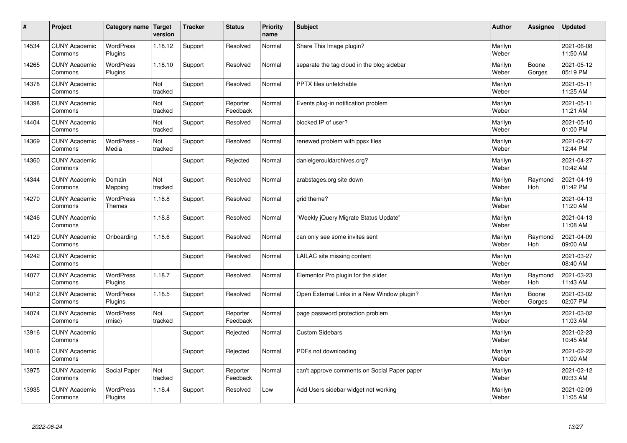| #     | Project                         | Category name   Target            | version        | <b>Tracker</b> | <b>Status</b>        | <b>Priority</b><br>name | <b>Subject</b>                               | <b>Author</b>    | <b>Assignee</b>       | <b>Updated</b>         |
|-------|---------------------------------|-----------------------------------|----------------|----------------|----------------------|-------------------------|----------------------------------------------|------------------|-----------------------|------------------------|
| 14534 | <b>CUNY Academic</b><br>Commons | <b>WordPress</b><br>Plugins       | 1.18.12        | Support        | Resolved             | Normal                  | Share This Image plugin?                     | Marilyn<br>Weber |                       | 2021-06-08<br>11:50 AM |
| 14265 | <b>CUNY Academic</b><br>Commons | <b>WordPress</b><br>Plugins       | 1.18.10        | Support        | Resolved             | Normal                  | separate the tag cloud in the blog sidebar   | Marilyn<br>Weber | Boone<br>Gorges       | 2021-05-12<br>05:19 PM |
| 14378 | <b>CUNY Academic</b><br>Commons |                                   | Not<br>tracked | Support        | Resolved             | Normal                  | PPTX files unfetchable                       | Marilyn<br>Weber |                       | 2021-05-11<br>11:25 AM |
| 14398 | <b>CUNY Academic</b><br>Commons |                                   | Not<br>tracked | Support        | Reporter<br>Feedback | Normal                  | Events plug-in notification problem          | Marilyn<br>Weber |                       | 2021-05-11<br>11:21 AM |
| 14404 | <b>CUNY Academic</b><br>Commons |                                   | Not<br>tracked | Support        | Resolved             | Normal                  | blocked IP of user?                          | Marilyn<br>Weber |                       | 2021-05-10<br>01:00 PM |
| 14369 | <b>CUNY Academic</b><br>Commons | WordPress -<br>Media              | Not<br>tracked | Support        | Resolved             | Normal                  | renewed problem with ppsx files              | Marilyn<br>Weber |                       | 2021-04-27<br>12:44 PM |
| 14360 | <b>CUNY Academic</b><br>Commons |                                   |                | Support        | Rejected             | Normal                  | danielgerouldarchives.org?                   | Marilyn<br>Weber |                       | 2021-04-27<br>10:42 AM |
| 14344 | <b>CUNY Academic</b><br>Commons | Domain<br>Mapping                 | Not<br>tracked | Support        | Resolved             | Normal                  | arabstages.org site down                     | Marilyn<br>Weber | Raymond<br>Hoh        | 2021-04-19<br>01:42 PM |
| 14270 | <b>CUNY Academic</b><br>Commons | <b>WordPress</b><br><b>Themes</b> | 1.18.8         | Support        | Resolved             | Normal                  | grid theme?                                  | Marilyn<br>Weber |                       | 2021-04-13<br>11:20 AM |
| 14246 | <b>CUNY Academic</b><br>Commons |                                   | 1.18.8         | Support        | Resolved             | Normal                  | 'Weekly jQuery Migrate Status Update"        | Marilyn<br>Weber |                       | 2021-04-13<br>11:08 AM |
| 14129 | <b>CUNY Academic</b><br>Commons | Onboarding                        | 1.18.6         | Support        | Resolved             | Normal                  | can only see some invites sent               | Marilyn<br>Weber | Raymond<br>Hoh        | 2021-04-09<br>09:00 AM |
| 14242 | <b>CUNY Academic</b><br>Commons |                                   |                | Support        | Resolved             | Normal                  | LAILAC site missing content                  | Marilyn<br>Weber |                       | 2021-03-27<br>08:40 AM |
| 14077 | <b>CUNY Academic</b><br>Commons | <b>WordPress</b><br>Plugins       | 1.18.7         | Support        | Resolved             | Normal                  | Elementor Pro plugin for the slider          | Marilyn<br>Weber | Raymond<br><b>Hoh</b> | 2021-03-23<br>11:43 AM |
| 14012 | <b>CUNY Academic</b><br>Commons | WordPress<br>Plugins              | 1.18.5         | Support        | Resolved             | Normal                  | Open External Links in a New Window plugin?  | Marilyn<br>Weber | Boone<br>Gorges       | 2021-03-02<br>02:07 PM |
| 14074 | <b>CUNY Academic</b><br>Commons | WordPress<br>(misc)               | Not<br>tracked | Support        | Reporter<br>Feedback | Normal                  | page password protection problem             | Marilyn<br>Weber |                       | 2021-03-02<br>11:03 AM |
| 13916 | <b>CUNY Academic</b><br>Commons |                                   |                | Support        | Rejected             | Normal                  | <b>Custom Sidebars</b>                       | Marilyn<br>Weber |                       | 2021-02-23<br>10:45 AM |
| 14016 | <b>CUNY Academic</b><br>Commons |                                   |                | Support        | Rejected             | Normal                  | PDFs not downloading                         | Marilyn<br>Weber |                       | 2021-02-22<br>11:00 AM |
| 13975 | <b>CUNY Academic</b><br>Commons | Social Paper                      | Not<br>tracked | Support        | Reporter<br>Feedback | Normal                  | can't approve comments on Social Paper paper | Marilyn<br>Weber |                       | 2021-02-12<br>09:33 AM |
| 13935 | <b>CUNY Academic</b><br>Commons | <b>WordPress</b><br>Plugins       | 1.18.4         | Support        | Resolved             | Low                     | Add Users sidebar widget not working         | Marilyn<br>Weber |                       | 2021-02-09<br>11:05 AM |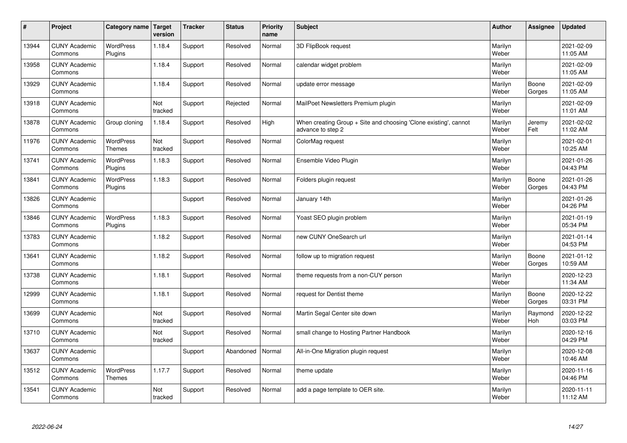| $\sharp$ | Project                         | Category name   Target            | version        | <b>Tracker</b> | <b>Status</b> | <b>Priority</b><br>name | <b>Subject</b>                                                                        | <b>Author</b>    | <b>Assignee</b>       | <b>Updated</b>         |
|----------|---------------------------------|-----------------------------------|----------------|----------------|---------------|-------------------------|---------------------------------------------------------------------------------------|------------------|-----------------------|------------------------|
| 13944    | <b>CUNY Academic</b><br>Commons | <b>WordPress</b><br>Plugins       | 1.18.4         | Support        | Resolved      | Normal                  | 3D FlipBook request                                                                   | Marilyn<br>Weber |                       | 2021-02-09<br>11:05 AM |
| 13958    | <b>CUNY Academic</b><br>Commons |                                   | 1.18.4         | Support        | Resolved      | Normal                  | calendar widget problem                                                               | Marilyn<br>Weber |                       | 2021-02-09<br>11:05 AM |
| 13929    | <b>CUNY Academic</b><br>Commons |                                   | 1.18.4         | Support        | Resolved      | Normal                  | update error message                                                                  | Marilyn<br>Weber | Boone<br>Gorges       | 2021-02-09<br>11:05 AM |
| 13918    | <b>CUNY Academic</b><br>Commons |                                   | Not<br>tracked | Support        | Rejected      | Normal                  | MailPoet Newsletters Premium plugin                                                   | Marilyn<br>Weber |                       | 2021-02-09<br>11:01 AM |
| 13878    | <b>CUNY Academic</b><br>Commons | Group cloning                     | 1.18.4         | Support        | Resolved      | High                    | When creating Group + Site and choosing 'Clone existing', cannot<br>advance to step 2 | Marilyn<br>Weber | Jeremy<br>Felt        | 2021-02-02<br>11:02 AM |
| 11976    | <b>CUNY Academic</b><br>Commons | <b>WordPress</b><br><b>Themes</b> | Not<br>tracked | Support        | Resolved      | Normal                  | ColorMag request                                                                      | Marilyn<br>Weber |                       | 2021-02-01<br>10:25 AM |
| 13741    | <b>CUNY Academic</b><br>Commons | <b>WordPress</b><br>Plugins       | 1.18.3         | Support        | Resolved      | Normal                  | Ensemble Video Plugin                                                                 | Marilyn<br>Weber |                       | 2021-01-26<br>04:43 PM |
| 13841    | <b>CUNY Academic</b><br>Commons | WordPress<br>Plugins              | 1.18.3         | Support        | Resolved      | Normal                  | Folders plugin request                                                                | Marilyn<br>Weber | Boone<br>Gorges       | 2021-01-26<br>04:43 PM |
| 13826    | <b>CUNY Academic</b><br>Commons |                                   |                | Support        | Resolved      | Normal                  | January 14th                                                                          | Marilyn<br>Weber |                       | 2021-01-26<br>04:26 PM |
| 13846    | <b>CUNY Academic</b><br>Commons | WordPress<br>Plugins              | 1.18.3         | Support        | Resolved      | Normal                  | Yoast SEO plugin problem                                                              | Marilyn<br>Weber |                       | 2021-01-19<br>05:34 PM |
| 13783    | <b>CUNY Academic</b><br>Commons |                                   | 1.18.2         | Support        | Resolved      | Normal                  | new CUNY OneSearch url                                                                | Marilyn<br>Weber |                       | 2021-01-14<br>04:53 PM |
| 13641    | <b>CUNY Academic</b><br>Commons |                                   | 1.18.2         | Support        | Resolved      | Normal                  | follow up to migration request                                                        | Marilyn<br>Weber | Boone<br>Gorges       | 2021-01-12<br>10:59 AM |
| 13738    | <b>CUNY Academic</b><br>Commons |                                   | 1.18.1         | Support        | Resolved      | Normal                  | theme requests from a non-CUY person                                                  | Marilyn<br>Weber |                       | 2020-12-23<br>11:34 AM |
| 12999    | <b>CUNY Academic</b><br>Commons |                                   | 1.18.1         | Support        | Resolved      | Normal                  | request for Dentist theme                                                             | Marilyn<br>Weber | Boone<br>Gorges       | 2020-12-22<br>03:31 PM |
| 13699    | <b>CUNY Academic</b><br>Commons |                                   | Not<br>tracked | Support        | Resolved      | Normal                  | Martin Segal Center site down                                                         | Marilyn<br>Weber | Raymond<br><b>Hoh</b> | 2020-12-22<br>03:03 PM |
| 13710    | <b>CUNY Academic</b><br>Commons |                                   | Not<br>tracked | Support        | Resolved      | Normal                  | small change to Hosting Partner Handbook                                              | Marilyn<br>Weber |                       | 2020-12-16<br>04:29 PM |
| 13637    | <b>CUNY Academic</b><br>Commons |                                   |                | Support        | Abandoned     | Normal                  | All-in-One Migration plugin request                                                   | Marilyn<br>Weber |                       | 2020-12-08<br>10:46 AM |
| 13512    | <b>CUNY Academic</b><br>Commons | <b>WordPress</b><br><b>Themes</b> | 1.17.7         | Support        | Resolved      | Normal                  | theme update                                                                          | Marilyn<br>Weber |                       | 2020-11-16<br>04:46 PM |
| 13541    | <b>CUNY Academic</b><br>Commons |                                   | Not<br>tracked | Support        | Resolved      | Normal                  | add a page template to OER site.                                                      | Marilyn<br>Weber |                       | 2020-11-11<br>11:12 AM |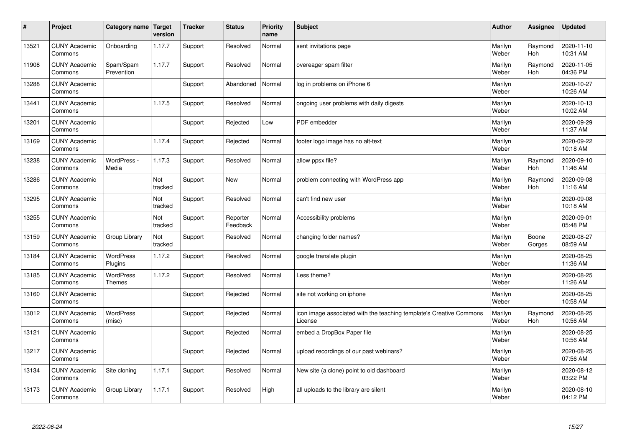| $\sharp$ | Project                         | Category name   Target            | version        | <b>Tracker</b> | <b>Status</b>        | <b>Priority</b><br>name | <b>Subject</b>                                                                 | <b>Author</b>    | Assignee              | Updated                |
|----------|---------------------------------|-----------------------------------|----------------|----------------|----------------------|-------------------------|--------------------------------------------------------------------------------|------------------|-----------------------|------------------------|
| 13521    | <b>CUNY Academic</b><br>Commons | Onboarding                        | 1.17.7         | Support        | Resolved             | Normal                  | sent invitations page                                                          | Marilyn<br>Weber | Raymond<br><b>Hoh</b> | 2020-11-10<br>10:31 AM |
| 11908    | <b>CUNY Academic</b><br>Commons | Spam/Spam<br>Prevention           | 1.17.7         | Support        | Resolved             | Normal                  | overeager spam filter                                                          | Marilyn<br>Weber | Raymond<br>Hoh        | 2020-11-05<br>04:36 PM |
| 13288    | <b>CUNY Academic</b><br>Commons |                                   |                | Support        | Abandoned            | Normal                  | log in problems on iPhone 6                                                    | Marilyn<br>Weber |                       | 2020-10-27<br>10:26 AM |
| 13441    | <b>CUNY Academic</b><br>Commons |                                   | 1.17.5         | Support        | Resolved             | Normal                  | ongoing user problems with daily digests                                       | Marilyn<br>Weber |                       | 2020-10-13<br>10:02 AM |
| 13201    | <b>CUNY Academic</b><br>Commons |                                   |                | Support        | Rejected             | Low                     | PDF embedder                                                                   | Marilyn<br>Weber |                       | 2020-09-29<br>11:37 AM |
| 13169    | <b>CUNY Academic</b><br>Commons |                                   | 1.17.4         | Support        | Rejected             | Normal                  | footer logo image has no alt-text                                              | Marilyn<br>Weber |                       | 2020-09-22<br>10:18 AM |
| 13238    | <b>CUNY Academic</b><br>Commons | WordPress -<br>Media              | 1.17.3         | Support        | Resolved             | Normal                  | allow ppsx file?                                                               | Marilyn<br>Weber | Raymond<br>Hoh        | 2020-09-10<br>11:46 AM |
| 13286    | <b>CUNY Academic</b><br>Commons |                                   | Not<br>tracked | Support        | <b>New</b>           | Normal                  | problem connecting with WordPress app                                          | Marilyn<br>Weber | Raymond<br>Hoh        | 2020-09-08<br>11:16 AM |
| 13295    | <b>CUNY Academic</b><br>Commons |                                   | Not<br>tracked | Support        | Resolved             | Normal                  | can't find new user                                                            | Marilyn<br>Weber |                       | 2020-09-08<br>10:18 AM |
| 13255    | <b>CUNY Academic</b><br>Commons |                                   | Not<br>tracked | Support        | Reporter<br>Feedback | Normal                  | Accessibility problems                                                         | Marilyn<br>Weber |                       | 2020-09-01<br>05:48 PM |
| 13159    | <b>CUNY Academic</b><br>Commons | Group Library                     | Not<br>tracked | Support        | Resolved             | Normal                  | changing folder names?                                                         | Marilyn<br>Weber | Boone<br>Gorges       | 2020-08-27<br>08:59 AM |
| 13184    | <b>CUNY Academic</b><br>Commons | <b>WordPress</b><br>Plugins       | 1.17.2         | Support        | Resolved             | Normal                  | google translate plugin                                                        | Marilyn<br>Weber |                       | 2020-08-25<br>11:36 AM |
| 13185    | <b>CUNY Academic</b><br>Commons | <b>WordPress</b><br><b>Themes</b> | 1.17.2         | Support        | Resolved             | Normal                  | Less theme?                                                                    | Marilyn<br>Weber |                       | 2020-08-25<br>11:26 AM |
| 13160    | <b>CUNY Academic</b><br>Commons |                                   |                | Support        | Rejected             | Normal                  | site not working on iphone                                                     | Marilyn<br>Weber |                       | 2020-08-25<br>10:58 AM |
| 13012    | <b>CUNY Academic</b><br>Commons | <b>WordPress</b><br>(misc)        |                | Support        | Rejected             | Normal                  | icon image associated with the teaching template's Creative Commons<br>License | Marilyn<br>Weber | Raymond<br>Hoh        | 2020-08-25<br>10:56 AM |
| 13121    | <b>CUNY Academic</b><br>Commons |                                   |                | Support        | Rejected             | Normal                  | embed a DropBox Paper file                                                     | Marilyn<br>Weber |                       | 2020-08-25<br>10:56 AM |
| 13217    | <b>CUNY Academic</b><br>Commons |                                   |                | Support        | Rejected             | Normal                  | upload recordings of our past webinars?                                        | Marilyn<br>Weber |                       | 2020-08-25<br>07:56 AM |
| 13134    | <b>CUNY Academic</b><br>Commons | Site cloning                      | 1.17.1         | Support        | Resolved             | Normal                  | New site (a clone) point to old dashboard                                      | Marilyn<br>Weber |                       | 2020-08-12<br>03:22 PM |
| 13173    | <b>CUNY Academic</b><br>Commons | Group Library                     | 1.17.1         | Support        | Resolved             | High                    | all uploads to the library are silent                                          | Marilyn<br>Weber |                       | 2020-08-10<br>04:12 PM |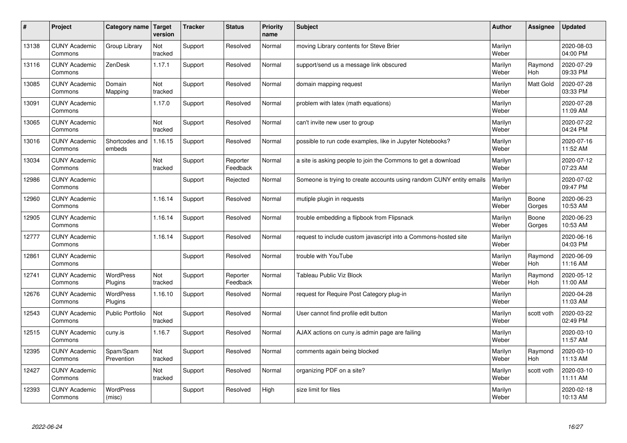| #     | Project                         | Category name   Target      | version        | <b>Tracker</b> | <b>Status</b>        | <b>Priority</b><br>name | <b>Subject</b>                                                       | <b>Author</b>    | Assignee         | <b>Updated</b>         |
|-------|---------------------------------|-----------------------------|----------------|----------------|----------------------|-------------------------|----------------------------------------------------------------------|------------------|------------------|------------------------|
| 13138 | <b>CUNY Academic</b><br>Commons | Group Library               | Not<br>tracked | Support        | Resolved             | Normal                  | moving Library contents for Steve Brier                              | Marilyn<br>Weber |                  | 2020-08-03<br>04:00 PM |
| 13116 | <b>CUNY Academic</b><br>Commons | ZenDesk                     | 1.17.1         | Support        | Resolved             | Normal                  | support/send us a message link obscured                              | Marilyn<br>Weber | Raymond<br>Hoh   | 2020-07-29<br>09:33 PM |
| 13085 | <b>CUNY Academic</b><br>Commons | Domain<br>Mapping           | Not<br>tracked | Support        | Resolved             | Normal                  | domain mapping request                                               | Marilyn<br>Weber | <b>Matt Gold</b> | 2020-07-28<br>03:33 PM |
| 13091 | <b>CUNY Academic</b><br>Commons |                             | 1.17.0         | Support        | Resolved             | Normal                  | problem with latex (math equations)                                  | Marilyn<br>Weber |                  | 2020-07-28<br>11:09 AM |
| 13065 | <b>CUNY Academic</b><br>Commons |                             | Not<br>tracked | Support        | Resolved             | Normal                  | can't invite new user to group                                       | Marilyn<br>Weber |                  | 2020-07-22<br>04:24 PM |
| 13016 | <b>CUNY Academic</b><br>Commons | Shortcodes and<br>embeds    | 1.16.15        | Support        | Resolved             | Normal                  | possible to run code examples, like in Jupyter Notebooks?            | Marilyn<br>Weber |                  | 2020-07-16<br>11:52 AM |
| 13034 | <b>CUNY Academic</b><br>Commons |                             | Not<br>tracked | Support        | Reporter<br>Feedback | Normal                  | a site is asking people to join the Commons to get a download        | Marilyn<br>Weber |                  | 2020-07-12<br>07:23 AM |
| 12986 | <b>CUNY Academic</b><br>Commons |                             |                | Support        | Rejected             | Normal                  | Someone is trying to create accounts using random CUNY entity emails | Marilyn<br>Weber |                  | 2020-07-02<br>09:47 PM |
| 12960 | <b>CUNY Academic</b><br>Commons |                             | 1.16.14        | Support        | Resolved             | Normal                  | mutiple plugin in requests                                           | Marilyn<br>Weber | Boone<br>Gorges  | 2020-06-23<br>10:53 AM |
| 12905 | <b>CUNY Academic</b><br>Commons |                             | 1.16.14        | Support        | Resolved             | Normal                  | trouble embedding a flipbook from Flipsnack                          | Marilyn<br>Weber | Boone<br>Gorges  | 2020-06-23<br>10:53 AM |
| 12777 | <b>CUNY Academic</b><br>Commons |                             | 1.16.14        | Support        | Resolved             | Normal                  | request to include custom javascript into a Commons-hosted site      | Marilyn<br>Weber |                  | 2020-06-16<br>04:03 PM |
| 12861 | <b>CUNY Academic</b><br>Commons |                             |                | Support        | Resolved             | Normal                  | trouble with YouTube                                                 | Marilyn<br>Weber | Raymond<br>Hoh   | 2020-06-09<br>11:16 AM |
| 12741 | <b>CUNY Academic</b><br>Commons | <b>WordPress</b><br>Plugins | Not<br>tracked | Support        | Reporter<br>Feedback | Normal                  | <b>Tableau Public Viz Block</b>                                      | Marilyn<br>Weber | Raymond<br>Hoh   | 2020-05-12<br>11:00 AM |
| 12676 | <b>CUNY Academic</b><br>Commons | <b>WordPress</b><br>Plugins | 1.16.10        | Support        | Resolved             | Normal                  | request for Require Post Category plug-in                            | Marilyn<br>Weber |                  | 2020-04-28<br>11:03 AM |
| 12543 | <b>CUNY Academic</b><br>Commons | <b>Public Portfolio</b>     | Not<br>tracked | Support        | Resolved             | Normal                  | User cannot find profile edit button                                 | Marilyn<br>Weber | scott voth       | 2020-03-22<br>02:49 PM |
| 12515 | <b>CUNY Academic</b><br>Commons | cuny.is                     | 1.16.7         | Support        | Resolved             | Normal                  | AJAX actions on cuny is admin page are failing                       | Marilyn<br>Weber |                  | 2020-03-10<br>11:57 AM |
| 12395 | <b>CUNY Academic</b><br>Commons | Spam/Spam<br>Prevention     | Not<br>tracked | Support        | Resolved             | Normal                  | comments again being blocked                                         | Marilyn<br>Weber | Raymond<br>Hoh   | 2020-03-10<br>11:13 AM |
| 12427 | <b>CUNY Academic</b><br>Commons |                             | Not<br>tracked | Support        | Resolved             | Normal                  | organizing PDF on a site?                                            | Marilyn<br>Weber | scott voth       | 2020-03-10<br>11:11 AM |
| 12393 | <b>CUNY Academic</b><br>Commons | WordPress<br>(misc)         |                | Support        | Resolved             | High                    | size limit for files                                                 | Marilyn<br>Weber |                  | 2020-02-18<br>10:13 AM |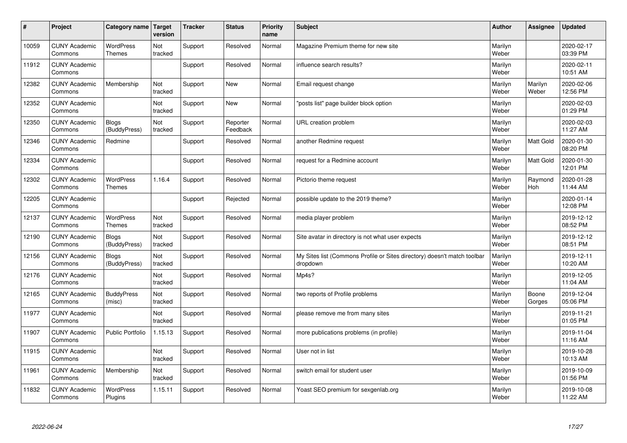| #     | Project                         | Category name   Target            | version        | <b>Tracker</b> | <b>Status</b>        | <b>Priority</b><br>name | <b>Subject</b>                                                                       | <b>Author</b>    | Assignee         | <b>Updated</b>         |
|-------|---------------------------------|-----------------------------------|----------------|----------------|----------------------|-------------------------|--------------------------------------------------------------------------------------|------------------|------------------|------------------------|
| 10059 | <b>CUNY Academic</b><br>Commons | <b>WordPress</b><br><b>Themes</b> | Not<br>tracked | Support        | Resolved             | Normal                  | Magazine Premium theme for new site                                                  | Marilyn<br>Weber |                  | 2020-02-17<br>03:39 PM |
| 11912 | <b>CUNY Academic</b><br>Commons |                                   |                | Support        | Resolved             | Normal                  | influence search results?                                                            | Marilyn<br>Weber |                  | 2020-02-11<br>10:51 AM |
| 12382 | <b>CUNY Academic</b><br>Commons | Membership                        | Not<br>tracked | Support        | <b>New</b>           | Normal                  | Email request change                                                                 | Marilyn<br>Weber | Marilyn<br>Weber | 2020-02-06<br>12:56 PM |
| 12352 | <b>CUNY Academic</b><br>Commons |                                   | Not<br>tracked | Support        | <b>New</b>           | Normal                  | 'posts list" page builder block option                                               | Marilyn<br>Weber |                  | 2020-02-03<br>01:29 PM |
| 12350 | <b>CUNY Academic</b><br>Commons | <b>Blogs</b><br>(BuddyPress)      | Not<br>tracked | Support        | Reporter<br>Feedback | Normal                  | URL creation problem                                                                 | Marilyn<br>Weber |                  | 2020-02-03<br>11:27 AM |
| 12346 | <b>CUNY Academic</b><br>Commons | Redmine                           |                | Support        | Resolved             | Normal                  | another Redmine request                                                              | Marilyn<br>Weber | <b>Matt Gold</b> | 2020-01-30<br>08:20 PM |
| 12334 | <b>CUNY Academic</b><br>Commons |                                   |                | Support        | Resolved             | Normal                  | request for a Redmine account                                                        | Marilyn<br>Weber | <b>Matt Gold</b> | 2020-01-30<br>12:01 PM |
| 12302 | <b>CUNY Academic</b><br>Commons | WordPress<br><b>Themes</b>        | 1.16.4         | Support        | Resolved             | Normal                  | Pictorio theme request                                                               | Marilyn<br>Weber | Raymond<br>Hoh   | 2020-01-28<br>11:44 AM |
| 12205 | <b>CUNY Academic</b><br>Commons |                                   |                | Support        | Rejected             | Normal                  | possible update to the 2019 theme?                                                   | Marilyn<br>Weber |                  | 2020-01-14<br>12:08 PM |
| 12137 | <b>CUNY Academic</b><br>Commons | <b>WordPress</b><br><b>Themes</b> | Not<br>tracked | Support        | Resolved             | Normal                  | media player problem                                                                 | Marilyn<br>Weber |                  | 2019-12-12<br>08:52 PM |
| 12190 | <b>CUNY Academic</b><br>Commons | <b>Blogs</b><br>(BuddyPress)      | Not<br>tracked | Support        | Resolved             | Normal                  | Site avatar in directory is not what user expects                                    | Marilyn<br>Weber |                  | 2019-12-12<br>08:51 PM |
| 12156 | <b>CUNY Academic</b><br>Commons | <b>Blogs</b><br>(BuddyPress)      | Not<br>tracked | Support        | Resolved             | Normal                  | My Sites list (Commons Profile or Sites directory) doesn't match toolbar<br>dropdown | Marilyn<br>Weber |                  | 2019-12-11<br>10:20 AM |
| 12176 | <b>CUNY Academic</b><br>Commons |                                   | Not<br>tracked | Support        | Resolved             | Normal                  | Mp4s?                                                                                | Marilyn<br>Weber |                  | 2019-12-05<br>11:04 AM |
| 12165 | <b>CUNY Academic</b><br>Commons | <b>BuddyPress</b><br>(misc)       | Not<br>tracked | Support        | Resolved             | Normal                  | two reports of Profile problems                                                      | Marilyn<br>Weber | Boone<br>Gorges  | 2019-12-04<br>05:06 PM |
| 11977 | <b>CUNY Academic</b><br>Commons |                                   | Not<br>tracked | Support        | Resolved             | Normal                  | please remove me from many sites                                                     | Marilyn<br>Weber |                  | 2019-11-21<br>01:05 PM |
| 11907 | <b>CUNY Academic</b><br>Commons | <b>Public Portfolio</b>           | 1.15.13        | Support        | Resolved             | Normal                  | more publications problems (in profile)                                              | Marilyn<br>Weber |                  | 2019-11-04<br>11:16 AM |
| 11915 | <b>CUNY Academic</b><br>Commons |                                   | Not<br>tracked | Support        | Resolved             | Normal                  | User not in list                                                                     | Marilyn<br>Weber |                  | 2019-10-28<br>10:13 AM |
| 11961 | <b>CUNY Academic</b><br>Commons | Membership                        | Not<br>tracked | Support        | Resolved             | Normal                  | switch email for student user                                                        | Marilyn<br>Weber |                  | 2019-10-09<br>01:56 PM |
| 11832 | <b>CUNY Academic</b><br>Commons | <b>WordPress</b><br>Plugins       | 1.15.11        | Support        | Resolved             | Normal                  | Yoast SEO premium for sexgenlab.org                                                  | Marilyn<br>Weber |                  | 2019-10-08<br>11:22 AM |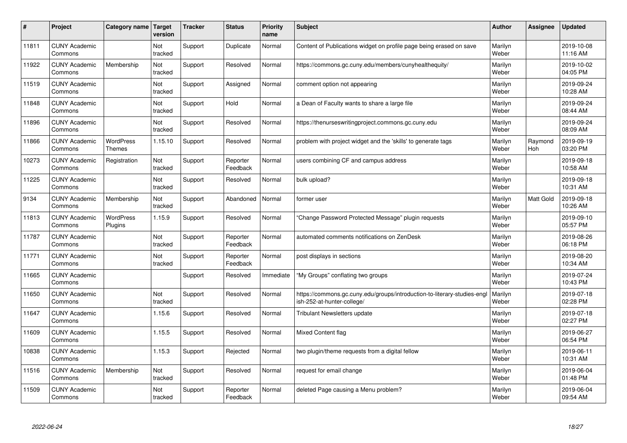| #     | Project                         | Category name                     | Target<br>version     | <b>Tracker</b> | <b>Status</b>        | <b>Priority</b><br>name | <b>Subject</b>                                                                                        | <b>Author</b>    | Assignee       | <b>Updated</b>         |
|-------|---------------------------------|-----------------------------------|-----------------------|----------------|----------------------|-------------------------|-------------------------------------------------------------------------------------------------------|------------------|----------------|------------------------|
| 11811 | <b>CUNY Academic</b><br>Commons |                                   | Not<br>tracked        | Support        | Duplicate            | Normal                  | Content of Publications widget on profile page being erased on save                                   | Marilyn<br>Weber |                | 2019-10-08<br>11:16 AM |
| 11922 | <b>CUNY Academic</b><br>Commons | Membership                        | Not<br>tracked        | Support        | Resolved             | Normal                  | https://commons.gc.cuny.edu/members/cunyhealthequity/                                                 | Marilyn<br>Weber |                | 2019-10-02<br>04:05 PM |
| 11519 | <b>CUNY Academic</b><br>Commons |                                   | Not<br>tracked        | Support        | Assigned             | Normal                  | comment option not appearing                                                                          | Marilyn<br>Weber |                | 2019-09-24<br>10:28 AM |
| 11848 | <b>CUNY Academic</b><br>Commons |                                   | Not<br>tracked        | Support        | Hold                 | Normal                  | a Dean of Faculty wants to share a large file                                                         | Marilyn<br>Weber |                | 2019-09-24<br>08:44 AM |
| 11896 | <b>CUNY Academic</b><br>Commons |                                   | <b>Not</b><br>tracked | Support        | Resolved             | Normal                  | https://thenurseswritingproject.commons.gc.cuny.edu                                                   | Marilyn<br>Weber |                | 2019-09-24<br>08:09 AM |
| 11866 | <b>CUNY Academic</b><br>Commons | <b>WordPress</b><br><b>Themes</b> | 1.15.10               | Support        | Resolved             | Normal                  | problem with project widget and the 'skills' to generate tags                                         | Marilyn<br>Weber | Raymond<br>Hoh | 2019-09-19<br>03:20 PM |
| 10273 | <b>CUNY Academic</b><br>Commons | Registration                      | Not<br>tracked        | Support        | Reporter<br>Feedback | Normal                  | users combining CF and campus address                                                                 | Marilyn<br>Weber |                | 2019-09-18<br>10:58 AM |
| 11225 | <b>CUNY Academic</b><br>Commons |                                   | Not<br>tracked        | Support        | Resolved             | Normal                  | bulk upload?                                                                                          | Marilyn<br>Weber |                | 2019-09-18<br>10:31 AM |
| 9134  | <b>CUNY Academic</b><br>Commons | Membership                        | Not<br>tracked        | Support        | Abandoned            | Normal                  | former user                                                                                           | Marilyn<br>Weber | Matt Gold      | 2019-09-18<br>10:26 AM |
| 11813 | <b>CUNY Academic</b><br>Commons | WordPress<br>Plugins              | 1.15.9                | Support        | Resolved             | Normal                  | Change Password Protected Message" plugin requests                                                    | Marilyn<br>Weber |                | 2019-09-10<br>05:57 PM |
| 11787 | <b>CUNY Academic</b><br>Commons |                                   | Not<br>tracked        | Support        | Reporter<br>Feedback | Normal                  | automated comments notifications on ZenDesk                                                           | Marilyn<br>Weber |                | 2019-08-26<br>06:18 PM |
| 11771 | <b>CUNY Academic</b><br>Commons |                                   | Not<br>tracked        | Support        | Reporter<br>Feedback | Normal                  | post displays in sections                                                                             | Marilyn<br>Weber |                | 2019-08-20<br>10:34 AM |
| 11665 | <b>CUNY Academic</b><br>Commons |                                   |                       | Support        | Resolved             | Immediate               | 'My Groups" conflating two groups                                                                     | Marilyn<br>Weber |                | 2019-07-24<br>10:43 PM |
| 11650 | <b>CUNY Academic</b><br>Commons |                                   | Not<br>tracked        | Support        | Resolved             | Normal                  | https://commons.gc.cuny.edu/groups/introduction-to-literary-studies-eng<br>ish-252-at-hunter-college/ | Marilyn<br>Weber |                | 2019-07-18<br>02:28 PM |
| 11647 | <b>CUNY Academic</b><br>Commons |                                   | 1.15.6                | Support        | Resolved             | Normal                  | <b>Tribulant Newsletters update</b>                                                                   | Marilyn<br>Weber |                | 2019-07-18<br>02:27 PM |
| 11609 | <b>CUNY Academic</b><br>Commons |                                   | 1.15.5                | Support        | Resolved             | Normal                  | <b>Mixed Content flag</b>                                                                             | Marilyn<br>Weber |                | 2019-06-27<br>06:54 PM |
| 10838 | <b>CUNY Academic</b><br>Commons |                                   | 1.15.3                | Support        | Rejected             | Normal                  | two plugin/theme requests from a digital fellow                                                       | Marilyn<br>Weber |                | 2019-06-11<br>10:31 AM |
| 11516 | <b>CUNY Academic</b><br>Commons | Membership                        | Not<br>tracked        | Support        | Resolved             | Normal                  | request for email change                                                                              | Marilyn<br>Weber |                | 2019-06-04<br>01:48 PM |
| 11509 | <b>CUNY Academic</b><br>Commons |                                   | Not<br>tracked        | Support        | Reporter<br>Feedback | Normal                  | deleted Page causing a Menu problem?                                                                  | Marilyn<br>Weber |                | 2019-06-04<br>09:54 AM |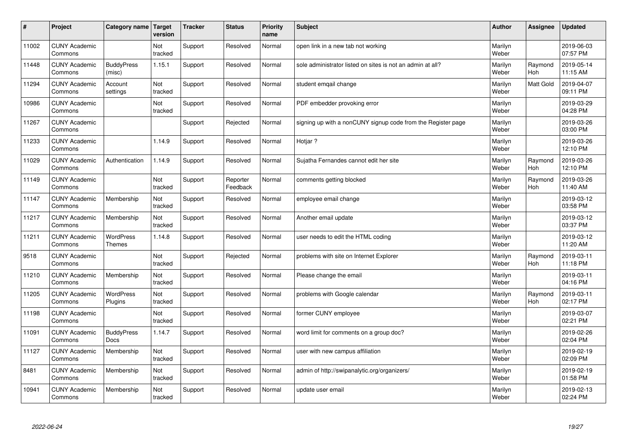| $\sharp$ | Project                         | Category name               | Target<br>version | <b>Tracker</b> | <b>Status</b>        | <b>Priority</b><br>name | <b>Subject</b>                                               | <b>Author</b>    | Assignee         | Updated                |
|----------|---------------------------------|-----------------------------|-------------------|----------------|----------------------|-------------------------|--------------------------------------------------------------|------------------|------------------|------------------------|
| 11002    | <b>CUNY Academic</b><br>Commons |                             | Not<br>tracked    | Support        | Resolved             | Normal                  | open link in a new tab not working                           | Marilyn<br>Weber |                  | 2019-06-03<br>07:57 PM |
| 11448    | <b>CUNY Academic</b><br>Commons | <b>BuddyPress</b><br>(misc) | 1.15.1            | Support        | Resolved             | Normal                  | sole administrator listed on sites is not an admin at all?   | Marilyn<br>Weber | Raymond<br>Hoh   | 2019-05-14<br>11:15 AM |
| 11294    | <b>CUNY Academic</b><br>Commons | Account<br>settings         | Not<br>tracked    | Support        | Resolved             | Normal                  | student emgail change                                        | Marilyn<br>Weber | <b>Matt Gold</b> | 2019-04-07<br>09:11 PM |
| 10986    | <b>CUNY Academic</b><br>Commons |                             | Not<br>tracked    | Support        | Resolved             | Normal                  | PDF embedder provoking error                                 | Marilyn<br>Weber |                  | 2019-03-29<br>04:28 PM |
| 11267    | <b>CUNY Academic</b><br>Commons |                             |                   | Support        | Rejected             | Normal                  | signing up with a nonCUNY signup code from the Register page | Marilyn<br>Weber |                  | 2019-03-26<br>03:00 PM |
| 11233    | <b>CUNY Academic</b><br>Commons |                             | 1.14.9            | Support        | Resolved             | Normal                  | Hotjar ?                                                     | Marilyn<br>Weber |                  | 2019-03-26<br>12:10 PM |
| 11029    | <b>CUNY Academic</b><br>Commons | Authentication              | 1.14.9            | Support        | Resolved             | Normal                  | Sujatha Fernandes cannot edit her site                       | Marilyn<br>Weber | Raymond<br>Hoh   | 2019-03-26<br>12:10 PM |
| 11149    | <b>CUNY Academic</b><br>Commons |                             | Not<br>tracked    | Support        | Reporter<br>Feedback | Normal                  | comments getting blocked                                     | Marilyn<br>Weber | Raymond<br>Hoh   | 2019-03-26<br>11:40 AM |
| 11147    | <b>CUNY Academic</b><br>Commons | Membership                  | Not<br>tracked    | Support        | Resolved             | Normal                  | employee email change                                        | Marilyn<br>Weber |                  | 2019-03-12<br>03:58 PM |
| 11217    | <b>CUNY Academic</b><br>Commons | Membership                  | Not<br>tracked    | Support        | Resolved             | Normal                  | Another email update                                         | Marilyn<br>Weber |                  | 2019-03-12<br>03:37 PM |
| 11211    | <b>CUNY Academic</b><br>Commons | WordPress<br><b>Themes</b>  | 1.14.8            | Support        | Resolved             | Normal                  | user needs to edit the HTML coding                           | Marilyn<br>Weber |                  | 2019-03-12<br>11:20 AM |
| 9518     | <b>CUNY Academic</b><br>Commons |                             | Not<br>tracked    | Support        | Rejected             | Normal                  | problems with site on Internet Explorer                      | Marilyn<br>Weber | Raymond<br>Hoh   | 2019-03-11<br>11:18 PM |
| 11210    | <b>CUNY Academic</b><br>Commons | Membership                  | Not<br>tracked    | Support        | Resolved             | Normal                  | Please change the email                                      | Marilyn<br>Weber |                  | 2019-03-11<br>04:16 PM |
| 11205    | <b>CUNY Academic</b><br>Commons | <b>WordPress</b><br>Plugins | Not<br>tracked    | Support        | Resolved             | Normal                  | problems with Google calendar                                | Marilyn<br>Weber | Raymond<br>Hoh   | 2019-03-11<br>02:17 PM |
| 11198    | <b>CUNY Academic</b><br>Commons |                             | Not<br>tracked    | Support        | Resolved             | Normal                  | former CUNY employee                                         | Marilyn<br>Weber |                  | 2019-03-07<br>02:21 PM |
| 11091    | <b>CUNY Academic</b><br>Commons | <b>BuddyPress</b><br>Docs   | 1.14.7            | Support        | Resolved             | Normal                  | word limit for comments on a group doc?                      | Marilyn<br>Weber |                  | 2019-02-26<br>02:04 PM |
| 11127    | <b>CUNY Academic</b><br>Commons | Membership                  | Not<br>tracked    | Support        | Resolved             | Normal                  | user with new campus affiliation                             | Marilyn<br>Weber |                  | 2019-02-19<br>02:09 PM |
| 8481     | <b>CUNY Academic</b><br>Commons | Membership                  | Not<br>tracked    | Support        | Resolved             | Normal                  | admin of http://swipanalytic.org/organizers/                 | Marilyn<br>Weber |                  | 2019-02-19<br>01:58 PM |
| 10941    | <b>CUNY Academic</b><br>Commons | Membership                  | Not<br>tracked    | Support        | Resolved             | Normal                  | update user email                                            | Marilyn<br>Weber |                  | 2019-02-13<br>02:24 PM |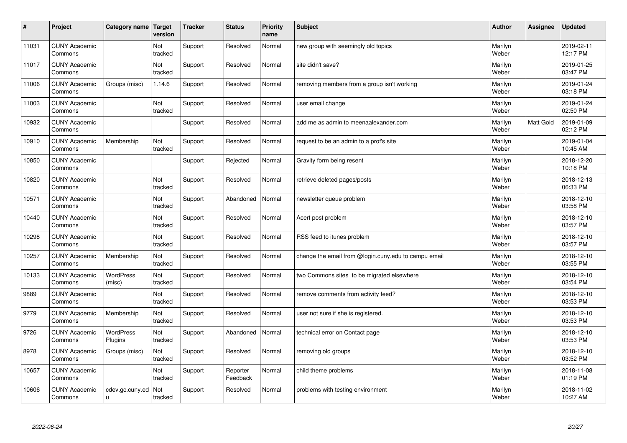| $\sharp$ | Project                         | Category name   Target      | version        | <b>Tracker</b> | <b>Status</b>        | <b>Priority</b><br>name | <b>Subject</b>                                       | <b>Author</b>    | Assignee  | Updated                |
|----------|---------------------------------|-----------------------------|----------------|----------------|----------------------|-------------------------|------------------------------------------------------|------------------|-----------|------------------------|
| 11031    | <b>CUNY Academic</b><br>Commons |                             | Not<br>tracked | Support        | Resolved             | Normal                  | new group with seemingly old topics                  | Marilyn<br>Weber |           | 2019-02-11<br>12:17 PM |
| 11017    | <b>CUNY Academic</b><br>Commons |                             | Not<br>tracked | Support        | Resolved             | Normal                  | site didn't save?                                    | Marilyn<br>Weber |           | 2019-01-25<br>03:47 PM |
| 11006    | <b>CUNY Academic</b><br>Commons | Groups (misc)               | 1.14.6         | Support        | Resolved             | Normal                  | removing members from a group isn't working          | Marilyn<br>Weber |           | 2019-01-24<br>03:18 PM |
| 11003    | <b>CUNY Academic</b><br>Commons |                             | Not<br>tracked | Support        | Resolved             | Normal                  | user email change                                    | Marilyn<br>Weber |           | 2019-01-24<br>02:50 PM |
| 10932    | <b>CUNY Academic</b><br>Commons |                             |                | Support        | Resolved             | Normal                  | add me as admin to meenaalexander.com                | Marilyn<br>Weber | Matt Gold | 2019-01-09<br>02:12 PM |
| 10910    | <b>CUNY Academic</b><br>Commons | Membership                  | Not<br>tracked | Support        | Resolved             | Normal                  | request to be an admin to a prof's site              | Marilyn<br>Weber |           | 2019-01-04<br>10:45 AM |
| 10850    | <b>CUNY Academic</b><br>Commons |                             |                | Support        | Rejected             | Normal                  | Gravity form being resent                            | Marilyn<br>Weber |           | 2018-12-20<br>10:18 PM |
| 10820    | <b>CUNY Academic</b><br>Commons |                             | Not<br>tracked | Support        | Resolved             | Normal                  | retrieve deleted pages/posts                         | Marilyn<br>Weber |           | 2018-12-13<br>06:33 PM |
| 10571    | <b>CUNY Academic</b><br>Commons |                             | Not<br>tracked | Support        | Abandoned            | Normal                  | newsletter queue problem                             | Marilyn<br>Weber |           | 2018-12-10<br>03:58 PM |
| 10440    | <b>CUNY Academic</b><br>Commons |                             | Not<br>tracked | Support        | Resolved             | Normal                  | Acert post problem                                   | Marilyn<br>Weber |           | 2018-12-10<br>03:57 PM |
| 10298    | <b>CUNY Academic</b><br>Commons |                             | Not<br>tracked | Support        | Resolved             | Normal                  | RSS feed to itunes problem                           | Marilyn<br>Weber |           | 2018-12-10<br>03:57 PM |
| 10257    | <b>CUNY Academic</b><br>Commons | Membership                  | Not<br>tracked | Support        | Resolved             | Normal                  | change the email from @login.cuny.edu to campu email | Marilyn<br>Weber |           | 2018-12-10<br>03:55 PM |
| 10133    | <b>CUNY Academic</b><br>Commons | <b>WordPress</b><br>(misc)  | Not<br>tracked | Support        | Resolved             | Normal                  | two Commons sites to be migrated elsewhere           | Marilyn<br>Weber |           | 2018-12-10<br>03:54 PM |
| 9889     | <b>CUNY Academic</b><br>Commons |                             | Not<br>tracked | Support        | Resolved             | Normal                  | remove comments from activity feed?                  | Marilyn<br>Weber |           | 2018-12-10<br>03:53 PM |
| 9779     | <b>CUNY Academic</b><br>Commons | Membership                  | Not<br>tracked | Support        | Resolved             | Normal                  | user not sure if she is registered.                  | Marilyn<br>Weber |           | 2018-12-10<br>03:53 PM |
| 9726     | <b>CUNY Academic</b><br>Commons | <b>WordPress</b><br>Plugins | Not<br>tracked | Support        | Abandoned            | Normal                  | technical error on Contact page                      | Marilyn<br>Weber |           | 2018-12-10<br>03:53 PM |
| 8978     | <b>CUNY Academic</b><br>Commons | Groups (misc)               | Not<br>tracked | Support        | Resolved             | Normal                  | removing old groups                                  | Marilyn<br>Weber |           | 2018-12-10<br>03:52 PM |
| 10657    | <b>CUNY Academic</b><br>Commons |                             | Not<br>tracked | Support        | Reporter<br>Feedback | Normal                  | child theme problems                                 | Marilyn<br>Weber |           | 2018-11-08<br>01:19 PM |
| 10606    | <b>CUNY Academic</b><br>Commons | cdev.gc.cuny.ed<br>u        | Not<br>tracked | Support        | Resolved             | Normal                  | problems with testing environment                    | Marilyn<br>Weber |           | 2018-11-02<br>10:27 AM |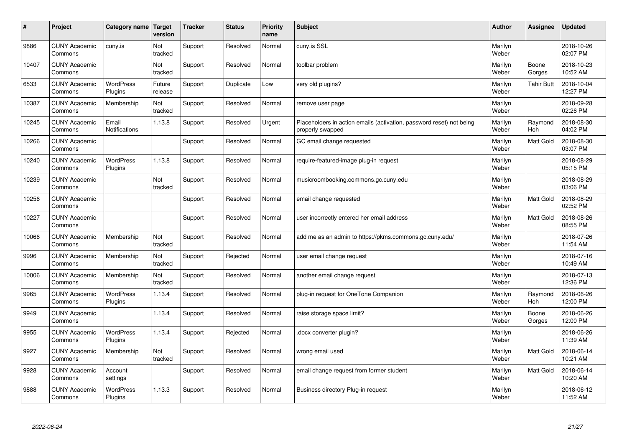| #     | Project                         | Category name   Target        | version           | <b>Tracker</b> | <b>Status</b> | <b>Priority</b><br>name | <b>Subject</b>                                                                           | <b>Author</b>    | Assignee              | <b>Updated</b>         |
|-------|---------------------------------|-------------------------------|-------------------|----------------|---------------|-------------------------|------------------------------------------------------------------------------------------|------------------|-----------------------|------------------------|
| 9886  | <b>CUNY Academic</b><br>Commons | cuny.is                       | Not<br>tracked    | Support        | Resolved      | Normal                  | cuny.is SSL                                                                              | Marilyn<br>Weber |                       | 2018-10-26<br>02:07 PM |
| 10407 | <b>CUNY Academic</b><br>Commons |                               | Not<br>tracked    | Support        | Resolved      | Normal                  | toolbar problem                                                                          | Marilyn<br>Weber | Boone<br>Gorges       | 2018-10-23<br>10:52 AM |
| 6533  | <b>CUNY Academic</b><br>Commons | <b>WordPress</b><br>Plugins   | Future<br>release | Support        | Duplicate     | Low                     | very old plugins?                                                                        | Marilyn<br>Weber | <b>Tahir Butt</b>     | 2018-10-04<br>12:27 PM |
| 10387 | <b>CUNY Academic</b><br>Commons | Membership                    | Not<br>tracked    | Support        | Resolved      | Normal                  | remove user page                                                                         | Marilyn<br>Weber |                       | 2018-09-28<br>02:26 PM |
| 10245 | <b>CUNY Academic</b><br>Commons | Email<br><b>Notifications</b> | 1.13.8            | Support        | Resolved      | Urgent                  | Placeholders in action emails (activation, password reset) not being<br>properly swapped | Marilyn<br>Weber | Raymond<br>Hoh        | 2018-08-30<br>04:02 PM |
| 10266 | <b>CUNY Academic</b><br>Commons |                               |                   | Support        | Resolved      | Normal                  | GC email change requested                                                                | Marilyn<br>Weber | Matt Gold             | 2018-08-30<br>03:07 PM |
| 10240 | <b>CUNY Academic</b><br>Commons | <b>WordPress</b><br>Plugins   | 1.13.8            | Support        | Resolved      | Normal                  | require-featured-image plug-in request                                                   | Marilyn<br>Weber |                       | 2018-08-29<br>05:15 PM |
| 10239 | <b>CUNY Academic</b><br>Commons |                               | Not<br>tracked    | Support        | Resolved      | Normal                  | musicroombooking.commons.gc.cuny.edu                                                     | Marilyn<br>Weber |                       | 2018-08-29<br>03:06 PM |
| 10256 | <b>CUNY Academic</b><br>Commons |                               |                   | Support        | Resolved      | Normal                  | email change requested                                                                   | Marilyn<br>Weber | Matt Gold             | 2018-08-29<br>02:52 PM |
| 10227 | <b>CUNY Academic</b><br>Commons |                               |                   | Support        | Resolved      | Normal                  | user incorrectly entered her email address                                               | Marilyn<br>Weber | <b>Matt Gold</b>      | 2018-08-26<br>08:55 PM |
| 10066 | <b>CUNY Academic</b><br>Commons | Membership                    | Not<br>tracked    | Support        | Resolved      | Normal                  | add me as an admin to https://pkms.commons.gc.cuny.edu/                                  | Marilyn<br>Weber |                       | 2018-07-26<br>11:54 AM |
| 9996  | <b>CUNY Academic</b><br>Commons | Membership                    | Not<br>tracked    | Support        | Rejected      | Normal                  | user email change request                                                                | Marilyn<br>Weber |                       | 2018-07-16<br>10:49 AM |
| 10006 | <b>CUNY Academic</b><br>Commons | Membership                    | Not<br>tracked    | Support        | Resolved      | Normal                  | another email change request                                                             | Marilyn<br>Weber |                       | 2018-07-13<br>12:36 PM |
| 9965  | <b>CUNY Academic</b><br>Commons | WordPress<br>Plugins          | 1.13.4            | Support        | Resolved      | Normal                  | plug-in request for OneTone Companion                                                    | Marilyn<br>Weber | Raymond<br><b>Hoh</b> | 2018-06-26<br>12:00 PM |
| 9949  | <b>CUNY Academic</b><br>Commons |                               | 1.13.4            | Support        | Resolved      | Normal                  | raise storage space limit?                                                               | Marilyn<br>Weber | Boone<br>Gorges       | 2018-06-26<br>12:00 PM |
| 9955  | <b>CUNY Academic</b><br>Commons | WordPress<br>Plugins          | 1.13.4            | Support        | Rejected      | Normal                  | docx converter plugin?                                                                   | Marilyn<br>Weber |                       | 2018-06-26<br>11:39 AM |
| 9927  | <b>CUNY Academic</b><br>Commons | Membership                    | Not<br>tracked    | Support        | Resolved      | Normal                  | wrong email used                                                                         | Marilyn<br>Weber | Matt Gold             | 2018-06-14<br>10:21 AM |
| 9928  | <b>CUNY Academic</b><br>Commons | Account<br>settings           |                   | Support        | Resolved      | Normal                  | email change request from former student                                                 | Marilyn<br>Weber | Matt Gold             | 2018-06-14<br>10:20 AM |
| 9888  | <b>CUNY Academic</b><br>Commons | <b>WordPress</b><br>Plugins   | 1.13.3            | Support        | Resolved      | Normal                  | Business directory Plug-in request                                                       | Marilyn<br>Weber |                       | 2018-06-12<br>11:52 AM |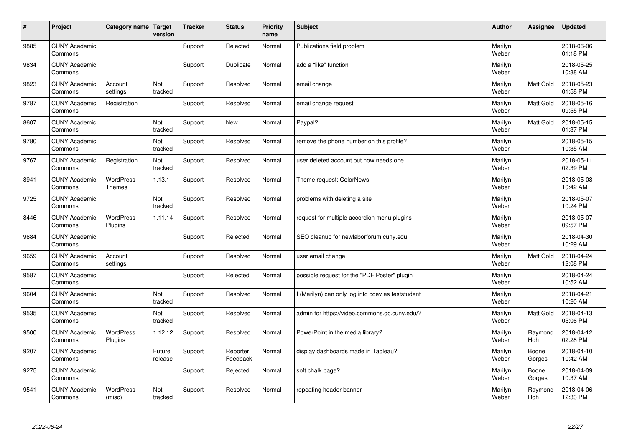| $\sharp$ | Project                         | Category name                     | Target<br>version | <b>Tracker</b> | <b>Status</b>        | <b>Priority</b><br>name | <b>Subject</b>                                    | <b>Author</b>    | Assignee         | <b>Updated</b>         |
|----------|---------------------------------|-----------------------------------|-------------------|----------------|----------------------|-------------------------|---------------------------------------------------|------------------|------------------|------------------------|
| 9885     | <b>CUNY Academic</b><br>Commons |                                   |                   | Support        | Rejected             | Normal                  | Publications field problem                        | Marilyn<br>Weber |                  | 2018-06-06<br>01:18 PM |
| 9834     | <b>CUNY Academic</b><br>Commons |                                   |                   | Support        | Duplicate            | Normal                  | add a "like" function                             | Marilyn<br>Weber |                  | 2018-05-25<br>10:38 AM |
| 9823     | <b>CUNY Academic</b><br>Commons | Account<br>settings               | Not<br>tracked    | Support        | Resolved             | Normal                  | email change                                      | Marilyn<br>Weber | Matt Gold        | 2018-05-23<br>01:58 PM |
| 9787     | <b>CUNY Academic</b><br>Commons | Registration                      |                   | Support        | Resolved             | Normal                  | email change request                              | Marilyn<br>Weber | <b>Matt Gold</b> | 2018-05-16<br>09:55 PM |
| 8607     | <b>CUNY Academic</b><br>Commons |                                   | Not<br>tracked    | Support        | <b>New</b>           | Normal                  | Paypal?                                           | Marilyn<br>Weber | <b>Matt Gold</b> | 2018-05-15<br>01:37 PM |
| 9780     | <b>CUNY Academic</b><br>Commons |                                   | Not<br>tracked    | Support        | Resolved             | Normal                  | remove the phone number on this profile?          | Marilyn<br>Weber |                  | 2018-05-15<br>10:35 AM |
| 9767     | <b>CUNY Academic</b><br>Commons | Registration                      | Not<br>tracked    | Support        | Resolved             | Normal                  | user deleted account but now needs one            | Marilyn<br>Weber |                  | 2018-05-11<br>02:39 PM |
| 8941     | <b>CUNY Academic</b><br>Commons | <b>WordPress</b><br><b>Themes</b> | 1.13.1            | Support        | Resolved             | Normal                  | Theme request: ColorNews                          | Marilyn<br>Weber |                  | 2018-05-08<br>10:42 AM |
| 9725     | <b>CUNY Academic</b><br>Commons |                                   | Not<br>tracked    | Support        | Resolved             | Normal                  | problems with deleting a site                     | Marilyn<br>Weber |                  | 2018-05-07<br>10:24 PM |
| 8446     | <b>CUNY Academic</b><br>Commons | <b>WordPress</b><br>Plugins       | 1.11.14           | Support        | Resolved             | Normal                  | request for multiple accordion menu plugins       | Marilyn<br>Weber |                  | 2018-05-07<br>09:57 PM |
| 9684     | <b>CUNY Academic</b><br>Commons |                                   |                   | Support        | Rejected             | Normal                  | SEO cleanup for newlaborforum.cuny.edu            | Marilyn<br>Weber |                  | 2018-04-30<br>10:29 AM |
| 9659     | <b>CUNY Academic</b><br>Commons | Account<br>settings               |                   | Support        | Resolved             | Normal                  | user email change                                 | Marilyn<br>Weber | <b>Matt Gold</b> | 2018-04-24<br>12:08 PM |
| 9587     | <b>CUNY Academic</b><br>Commons |                                   |                   | Support        | Rejected             | Normal                  | possible request for the "PDF Poster" plugin      | Marilyn<br>Weber |                  | 2018-04-24<br>10:52 AM |
| 9604     | <b>CUNY Academic</b><br>Commons |                                   | Not<br>tracked    | Support        | Resolved             | Normal                  | I (Marilyn) can only log into cdev as teststudent | Marilyn<br>Weber |                  | 2018-04-21<br>10:20 AM |
| 9535     | <b>CUNY Academic</b><br>Commons |                                   | Not<br>tracked    | Support        | Resolved             | Normal                  | admin for https://video.commons.gc.cuny.edu/?     | Marilyn<br>Weber | Matt Gold        | 2018-04-13<br>05:06 PM |
| 9500     | <b>CUNY Academic</b><br>Commons | <b>WordPress</b><br>Plugins       | 1.12.12           | Support        | Resolved             | Normal                  | PowerPoint in the media library?                  | Marilyn<br>Weber | Raymond<br>Hoh   | 2018-04-12<br>02:28 PM |
| 9207     | <b>CUNY Academic</b><br>Commons |                                   | Future<br>release | Support        | Reporter<br>Feedback | Normal                  | display dashboards made in Tableau?               | Marilyn<br>Weber | Boone<br>Gorges  | 2018-04-10<br>10:42 AM |
| 9275     | <b>CUNY Academic</b><br>Commons |                                   |                   | Support        | Rejected             | Normal                  | soft chalk page?                                  | Marilyn<br>Weber | Boone<br>Gorges  | 2018-04-09<br>10:37 AM |
| 9541     | <b>CUNY Academic</b><br>Commons | <b>WordPress</b><br>(misc)        | Not<br>tracked    | Support        | Resolved             | Normal                  | repeating header banner                           | Marilyn<br>Weber | Raymond<br>Hoh   | 2018-04-06<br>12:33 PM |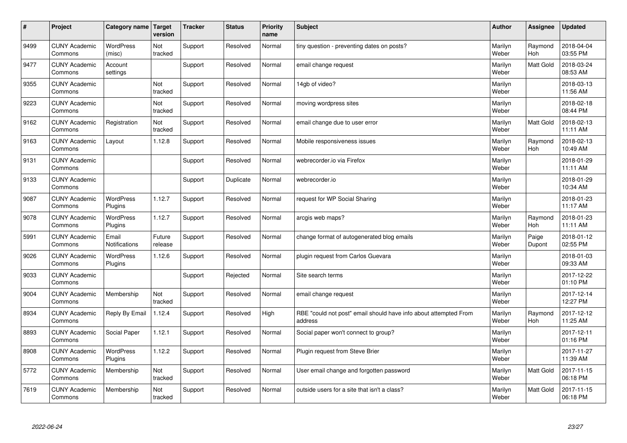| #    | Project                         | Category name   Target      | version           | <b>Tracker</b> | <b>Status</b> | <b>Priority</b><br>name | <b>Subject</b>                                                              | <b>Author</b>    | <b>Assignee</b>       | <b>Updated</b>         |
|------|---------------------------------|-----------------------------|-------------------|----------------|---------------|-------------------------|-----------------------------------------------------------------------------|------------------|-----------------------|------------------------|
| 9499 | <b>CUNY Academic</b><br>Commons | <b>WordPress</b><br>(misc)  | Not<br>tracked    | Support        | Resolved      | Normal                  | tiny question - preventing dates on posts?                                  | Marilyn<br>Weber | Raymond<br><b>Hoh</b> | 2018-04-04<br>03:55 PM |
| 9477 | <b>CUNY Academic</b><br>Commons | Account<br>settings         |                   | Support        | Resolved      | Normal                  | email change request                                                        | Marilyn<br>Weber | <b>Matt Gold</b>      | 2018-03-24<br>08:53 AM |
| 9355 | <b>CUNY Academic</b><br>Commons |                             | Not<br>tracked    | Support        | Resolved      | Normal                  | 14gb of video?                                                              | Marilyn<br>Weber |                       | 2018-03-13<br>11:56 AM |
| 9223 | <b>CUNY Academic</b><br>Commons |                             | Not<br>tracked    | Support        | Resolved      | Normal                  | moving wordpress sites                                                      | Marilyn<br>Weber |                       | 2018-02-18<br>08:44 PM |
| 9162 | <b>CUNY Academic</b><br>Commons | Registration                | Not<br>tracked    | Support        | Resolved      | Normal                  | email change due to user error                                              | Marilyn<br>Weber | <b>Matt Gold</b>      | 2018-02-13<br>11:11 AM |
| 9163 | <b>CUNY Academic</b><br>Commons | Layout                      | 1.12.8            | Support        | Resolved      | Normal                  | Mobile responsiveness issues                                                | Marilyn<br>Weber | Raymond<br>Hoh        | 2018-02-13<br>10:49 AM |
| 9131 | <b>CUNY Academic</b><br>Commons |                             |                   | Support        | Resolved      | Normal                  | webrecorder.io via Firefox                                                  | Marilyn<br>Weber |                       | 2018-01-29<br>11:11 AM |
| 9133 | <b>CUNY Academic</b><br>Commons |                             |                   | Support        | Duplicate     | Normal                  | webrecorder.io                                                              | Marilyn<br>Weber |                       | 2018-01-29<br>10:34 AM |
| 9087 | <b>CUNY Academic</b><br>Commons | <b>WordPress</b><br>Plugins | 1.12.7            | Support        | Resolved      | Normal                  | request for WP Social Sharing                                               | Marilyn<br>Weber |                       | 2018-01-23<br>11:17 AM |
| 9078 | <b>CUNY Academic</b><br>Commons | <b>WordPress</b><br>Plugins | 1.12.7            | Support        | Resolved      | Normal                  | arcgis web maps?                                                            | Marilyn<br>Weber | Raymond<br>Hoh        | 2018-01-23<br>11:11 AM |
| 5991 | <b>CUNY Academic</b><br>Commons | Email<br>Notifications      | Future<br>release | Support        | Resolved      | Normal                  | change format of autogenerated blog emails                                  | Marilyn<br>Weber | Paige<br>Dupont       | 2018-01-12<br>02:55 PM |
| 9026 | <b>CUNY Academic</b><br>Commons | <b>WordPress</b><br>Plugins | 1.12.6            | Support        | Resolved      | Normal                  | plugin request from Carlos Guevara                                          | Marilyn<br>Weber |                       | 2018-01-03<br>09:33 AM |
| 9033 | <b>CUNY Academic</b><br>Commons |                             |                   | Support        | Rejected      | Normal                  | Site search terms                                                           | Marilyn<br>Weber |                       | 2017-12-22<br>01:10 PM |
| 9004 | <b>CUNY Academic</b><br>Commons | Membership                  | Not<br>tracked    | Support        | Resolved      | Normal                  | email change request                                                        | Marilyn<br>Weber |                       | 2017-12-14<br>12:27 PM |
| 8934 | <b>CUNY Academic</b><br>Commons | Reply By Email              | 1.12.4            | Support        | Resolved      | High                    | RBE "could not post" email should have info about attempted From<br>address | Marilyn<br>Weber | Raymond<br>Hoh        | 2017-12-12<br>11:25 AM |
| 8893 | <b>CUNY Academic</b><br>Commons | Social Paper                | 1.12.1            | Support        | Resolved      | Normal                  | Social paper won't connect to group?                                        | Marilyn<br>Weber |                       | 2017-12-11<br>01:16 PM |
| 8908 | <b>CUNY Academic</b><br>Commons | WordPress<br>Plugins        | 1.12.2            | Support        | Resolved      | Normal                  | Plugin request from Steve Brier                                             | Marilyn<br>Weber |                       | 2017-11-27<br>11:39 AM |
| 5772 | <b>CUNY Academic</b><br>Commons | Membership                  | Not<br>tracked    | Support        | Resolved      | Normal                  | User email change and forgotten password                                    | Marilyn<br>Weber | <b>Matt Gold</b>      | 2017-11-15<br>06:18 PM |
| 7619 | <b>CUNY Academic</b><br>Commons | Membership                  | Not<br>tracked    | Support        | Resolved      | Normal                  | outside users for a site that isn't a class?                                | Marilyn<br>Weber | <b>Matt Gold</b>      | 2017-11-15<br>06:18 PM |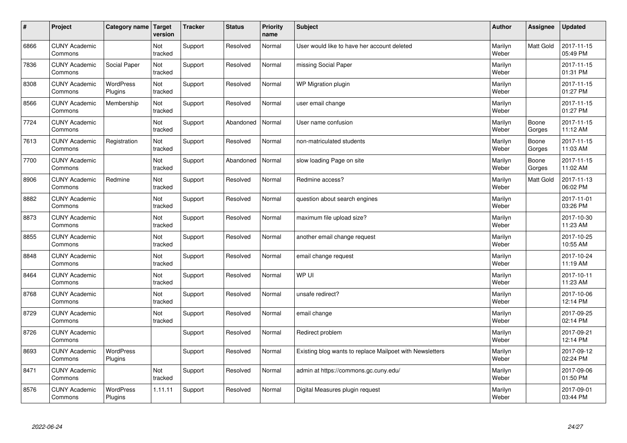| $\vert$ # | Project                         | Category name Target        | version        | <b>Tracker</b> | <b>Status</b> | <b>Priority</b><br>name | <b>Subject</b>                                           | <b>Author</b>    | <b>Assignee</b> | Updated                |
|-----------|---------------------------------|-----------------------------|----------------|----------------|---------------|-------------------------|----------------------------------------------------------|------------------|-----------------|------------------------|
| 6866      | <b>CUNY Academic</b><br>Commons |                             | Not<br>tracked | Support        | Resolved      | Normal                  | User would like to have her account deleted              | Marilyn<br>Weber | Matt Gold       | 2017-11-15<br>05:49 PM |
| 7836      | <b>CUNY Academic</b><br>Commons | Social Paper                | Not<br>tracked | Support        | Resolved      | Normal                  | missing Social Paper                                     | Marilyn<br>Weber |                 | 2017-11-15<br>01:31 PM |
| 8308      | <b>CUNY Academic</b><br>Commons | WordPress<br>Plugins        | Not<br>tracked | Support        | Resolved      | Normal                  | WP Migration plugin                                      | Marilyn<br>Weber |                 | 2017-11-15<br>01:27 PM |
| 8566      | <b>CUNY Academic</b><br>Commons | Membership                  | Not<br>tracked | Support        | Resolved      | Normal                  | user email change                                        | Marilyn<br>Weber |                 | 2017-11-15<br>01:27 PM |
| 7724      | <b>CUNY Academic</b><br>Commons |                             | Not<br>tracked | Support        | Abandoned     | Normal                  | User name confusion                                      | Marilyn<br>Weber | Boone<br>Gorges | 2017-11-15<br>11:12 AM |
| 7613      | <b>CUNY Academic</b><br>Commons | Registration                | Not<br>tracked | Support        | Resolved      | Normal                  | non-matriculated students                                | Marilyn<br>Weber | Boone<br>Gorges | 2017-11-15<br>11:03 AM |
| 7700      | <b>CUNY Academic</b><br>Commons |                             | Not<br>tracked | Support        | Abandoned     | Normal                  | slow loading Page on site                                | Marilyn<br>Weber | Boone<br>Gorges | 2017-11-15<br>11:02 AM |
| 8906      | <b>CUNY Academic</b><br>Commons | Redmine                     | Not<br>tracked | Support        | Resolved      | Normal                  | Redmine access?                                          | Marilyn<br>Weber | Matt Gold       | 2017-11-13<br>06:02 PM |
| 8882      | <b>CUNY Academic</b><br>Commons |                             | Not<br>tracked | Support        | Resolved      | Normal                  | question about search engines                            | Marilyn<br>Weber |                 | 2017-11-01<br>03:26 PM |
| 8873      | <b>CUNY Academic</b><br>Commons |                             | Not<br>tracked | Support        | Resolved      | Normal                  | maximum file upload size?                                | Marilyn<br>Weber |                 | 2017-10-30<br>11:23 AM |
| 8855      | <b>CUNY Academic</b><br>Commons |                             | Not<br>tracked | Support        | Resolved      | Normal                  | another email change request                             | Marilyn<br>Weber |                 | 2017-10-25<br>10:55 AM |
| 8848      | <b>CUNY Academic</b><br>Commons |                             | Not<br>tracked | Support        | Resolved      | Normal                  | email change request                                     | Marilyn<br>Weber |                 | 2017-10-24<br>11:19 AM |
| 8464      | <b>CUNY Academic</b><br>Commons |                             | Not<br>tracked | Support        | Resolved      | Normal                  | WP UI                                                    | Marilyn<br>Weber |                 | 2017-10-11<br>11:23 AM |
| 8768      | <b>CUNY Academic</b><br>Commons |                             | Not<br>tracked | Support        | Resolved      | Normal                  | unsafe redirect?                                         | Marilyn<br>Weber |                 | 2017-10-06<br>12:14 PM |
| 8729      | <b>CUNY Academic</b><br>Commons |                             | Not<br>tracked | Support        | Resolved      | Normal                  | email change                                             | Marilyn<br>Weber |                 | 2017-09-25<br>02:14 PM |
| 8726      | <b>CUNY Academic</b><br>Commons |                             |                | Support        | Resolved      | Normal                  | Redirect problem                                         | Marilyn<br>Weber |                 | 2017-09-21<br>12:14 PM |
| 8693      | <b>CUNY Academic</b><br>Commons | WordPress<br>Plugins        |                | Support        | Resolved      | Normal                  | Existing blog wants to replace Mailpoet with Newsletters | Marilyn<br>Weber |                 | 2017-09-12<br>02:24 PM |
| 8471      | <b>CUNY Academic</b><br>Commons |                             | Not<br>tracked | Support        | Resolved      | Normal                  | admin at https://commons.gc.cuny.edu/                    | Marilyn<br>Weber |                 | 2017-09-06<br>01:50 PM |
| 8576      | <b>CUNY Academic</b><br>Commons | <b>WordPress</b><br>Plugins | 1.11.11        | Support        | Resolved      | Normal                  | Digital Measures plugin request                          | Marilyn<br>Weber |                 | 2017-09-01<br>03:44 PM |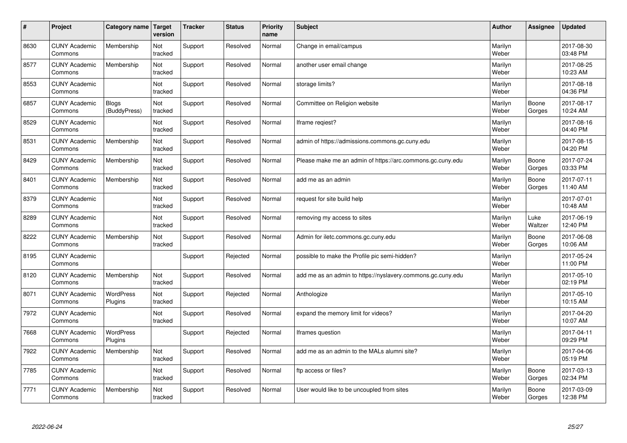| $\vert$ # | Project                         | Category name                | <b>Target</b><br>version | <b>Tracker</b> | <b>Status</b> | <b>Priority</b><br>name | <b>Subject</b>                                              | <b>Author</b>    | Assignee        | <b>Updated</b>         |
|-----------|---------------------------------|------------------------------|--------------------------|----------------|---------------|-------------------------|-------------------------------------------------------------|------------------|-----------------|------------------------|
| 8630      | <b>CUNY Academic</b><br>Commons | Membership                   | Not<br>tracked           | Support        | Resolved      | Normal                  | Change in email/campus                                      | Marilyn<br>Weber |                 | 2017-08-30<br>03:48 PM |
| 8577      | <b>CUNY Academic</b><br>Commons | Membership                   | Not<br>tracked           | Support        | Resolved      | Normal                  | another user email change                                   | Marilyn<br>Weber |                 | 2017-08-25<br>10:23 AM |
| 8553      | <b>CUNY Academic</b><br>Commons |                              | Not<br>tracked           | Support        | Resolved      | Normal                  | storage limits?                                             | Marilyn<br>Weber |                 | 2017-08-18<br>04:36 PM |
| 6857      | <b>CUNY Academic</b><br>Commons | <b>Blogs</b><br>(BuddyPress) | Not<br>tracked           | Support        | Resolved      | Normal                  | Committee on Religion website                               | Marilyn<br>Weber | Boone<br>Gorges | 2017-08-17<br>10:24 AM |
| 8529      | <b>CUNY Academic</b><br>Commons |                              | Not<br>tracked           | Support        | Resolved      | Normal                  | Iframe regiest?                                             | Marilyn<br>Weber |                 | 2017-08-16<br>04:40 PM |
| 8531      | <b>CUNY Academic</b><br>Commons | Membership                   | Not<br>tracked           | Support        | Resolved      | Normal                  | admin of https://admissions.commons.gc.cuny.edu             | Marilyn<br>Weber |                 | 2017-08-15<br>04:20 PM |
| 8429      | <b>CUNY Academic</b><br>Commons | Membership                   | Not<br>tracked           | Support        | Resolved      | Normal                  | Please make me an admin of https://arc.commons.gc.cuny.edu  | Marilyn<br>Weber | Boone<br>Gorges | 2017-07-24<br>03:33 PM |
| 8401      | <b>CUNY Academic</b><br>Commons | Membership                   | Not<br>tracked           | Support        | Resolved      | Normal                  | add me as an admin                                          | Marilyn<br>Weber | Boone<br>Gorges | 2017-07-11<br>11:40 AM |
| 8379      | <b>CUNY Academic</b><br>Commons |                              | Not<br>tracked           | Support        | Resolved      | Normal                  | request for site build help                                 | Marilyn<br>Weber |                 | 2017-07-01<br>10:48 AM |
| 8289      | <b>CUNY Academic</b><br>Commons |                              | Not<br>tracked           | Support        | Resolved      | Normal                  | removing my access to sites                                 | Marilyn<br>Weber | Luke<br>Waltzer | 2017-06-19<br>12:40 PM |
| 8222      | <b>CUNY Academic</b><br>Commons | Membership                   | Not<br>tracked           | Support        | Resolved      | Normal                  | Admin for iletc.commons.gc.cuny.edu                         | Marilyn<br>Weber | Boone<br>Gorges | 2017-06-08<br>10:06 AM |
| 8195      | <b>CUNY Academic</b><br>Commons |                              |                          | Support        | Rejected      | Normal                  | possible to make the Profile pic semi-hidden?               | Marilyn<br>Weber |                 | 2017-05-24<br>11:00 PM |
| 8120      | <b>CUNY Academic</b><br>Commons | Membership                   | Not<br>tracked           | Support        | Resolved      | Normal                  | add me as an admin to https://nyslavery.commons.gc.cuny.edu | Marilyn<br>Weber |                 | 2017-05-10<br>02:19 PM |
| 8071      | <b>CUNY Academic</b><br>Commons | WordPress<br>Plugins         | Not<br>tracked           | Support        | Rejected      | Normal                  | Anthologize                                                 | Marilyn<br>Weber |                 | 2017-05-10<br>10:15 AM |
| 7972      | <b>CUNY Academic</b><br>Commons |                              | Not<br>tracked           | Support        | Resolved      | Normal                  | expand the memory limit for videos?                         | Marilyn<br>Weber |                 | 2017-04-20<br>10:07 AM |
| 7668      | <b>CUNY Academic</b><br>Commons | <b>WordPress</b><br>Plugins  |                          | Support        | Rejected      | Normal                  | Iframes question                                            | Marilyn<br>Weber |                 | 2017-04-11<br>09:29 PM |
| 7922      | <b>CUNY Academic</b><br>Commons | Membership                   | Not<br>tracked           | Support        | Resolved      | Normal                  | add me as an admin to the MALs alumni site?                 | Marilyn<br>Weber |                 | 2017-04-06<br>05:19 PM |
| 7785      | <b>CUNY Academic</b><br>Commons |                              | Not<br>tracked           | Support        | Resolved      | Normal                  | ftp access or files?                                        | Marilyn<br>Weber | Boone<br>Gorges | 2017-03-13<br>02:34 PM |
| 7771      | <b>CUNY Academic</b><br>Commons | Membership                   | Not<br>tracked           | Support        | Resolved      | Normal                  | User would like to be uncoupled from sites                  | Marilyn<br>Weber | Boone<br>Gorges | 2017-03-09<br>12:38 PM |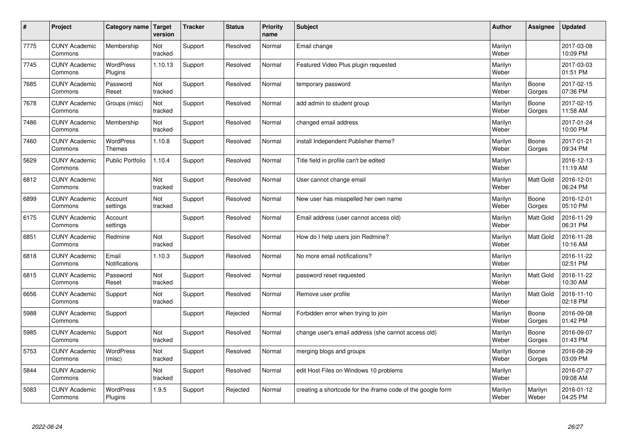| $\sharp$ | Project                         | Category name   Target            | version        | <b>Tracker</b> | <b>Status</b> | <b>Priority</b><br>name | <b>Subject</b>                                              | <b>Author</b>    | Assignee         | <b>Updated</b>         |
|----------|---------------------------------|-----------------------------------|----------------|----------------|---------------|-------------------------|-------------------------------------------------------------|------------------|------------------|------------------------|
| 7775     | <b>CUNY Academic</b><br>Commons | Membership                        | Not<br>tracked | Support        | Resolved      | Normal                  | Email change                                                | Marilyn<br>Weber |                  | 2017-03-08<br>10:09 PM |
| 7745     | <b>CUNY Academic</b><br>Commons | <b>WordPress</b><br>Plugins       | 1.10.13        | Support        | Resolved      | Normal                  | Featured Video Plus plugin requested                        | Marilyn<br>Weber |                  | 2017-03-03<br>01:51 PM |
| 7685     | <b>CUNY Academic</b><br>Commons | Password<br>Reset                 | Not<br>tracked | Support        | Resolved      | Normal                  | temporary password                                          | Marilyn<br>Weber | Boone<br>Gorges  | 2017-02-15<br>07:36 PM |
| 7678     | <b>CUNY Academic</b><br>Commons | Groups (misc)                     | Not<br>tracked | Support        | Resolved      | Normal                  | add admin to student group                                  | Marilyn<br>Weber | Boone<br>Gorges  | 2017-02-15<br>11:58 AM |
| 7486     | <b>CUNY Academic</b><br>Commons | Membership                        | Not<br>tracked | Support        | Resolved      | Normal                  | changed email address                                       | Marilyn<br>Weber |                  | 2017-01-24<br>10:00 PM |
| 7460     | <b>CUNY Academic</b><br>Commons | <b>WordPress</b><br><b>Themes</b> | 1.10.8         | Support        | Resolved      | Normal                  | install Independent Publisher theme?                        | Marilyn<br>Weber | Boone<br>Gorges  | 2017-01-21<br>09:34 PM |
| 5629     | <b>CUNY Academic</b><br>Commons | <b>Public Portfolio</b>           | 1.10.4         | Support        | Resolved      | Normal                  | Title field in profile can't be edited                      | Marilyn<br>Weber |                  | 2016-12-13<br>11:19 AM |
| 6812     | <b>CUNY Academic</b><br>Commons |                                   | Not<br>tracked | Support        | Resolved      | Normal                  | User cannot change email                                    | Marilyn<br>Weber | Matt Gold        | 2016-12-01<br>06:24 PM |
| 6899     | <b>CUNY Academic</b><br>Commons | Account<br>settings               | Not<br>tracked | Support        | Resolved      | Normal                  | New user has misspelled her own name                        | Marilyn<br>Weber | Boone<br>Gorges  | 2016-12-01<br>05:10 PM |
| 6175     | <b>CUNY Academic</b><br>Commons | Account<br>settings               |                | Support        | Resolved      | Normal                  | Email address (user cannot access old)                      | Marilyn<br>Weber | <b>Matt Gold</b> | 2016-11-29<br>06:31 PM |
| 6851     | <b>CUNY Academic</b><br>Commons | Redmine                           | Not<br>tracked | Support        | Resolved      | Normal                  | How do I help users join Redmine?                           | Marilyn<br>Weber | Matt Gold        | 2016-11-28<br>10:16 AM |
| 6818     | <b>CUNY Academic</b><br>Commons | Email<br>Notifications            | 1.10.3         | Support        | Resolved      | Normal                  | No more email notifications?                                | Marilyn<br>Weber |                  | 2016-11-22<br>02:51 PM |
| 6815     | <b>CUNY Academic</b><br>Commons | Password<br>Reset                 | Not<br>tracked | Support        | Resolved      | Normal                  | password reset requested                                    | Marilyn<br>Weber | <b>Matt Gold</b> | 2016-11-22<br>10:30 AM |
| 6656     | <b>CUNY Academic</b><br>Commons | Support                           | Not<br>tracked | Support        | Resolved      | Normal                  | Remove user profile                                         | Marilyn<br>Weber | <b>Matt Gold</b> | 2016-11-10<br>02:18 PM |
| 5988     | <b>CUNY Academic</b><br>Commons | Support                           |                | Support        | Rejected      | Normal                  | Forbidden error when trying to join                         | Marilyn<br>Weber | Boone<br>Gorges  | 2016-09-08<br>01:42 PM |
| 5985     | <b>CUNY Academic</b><br>Commons | Support                           | Not<br>tracked | Support        | Resolved      | Normal                  | change user's email address (she cannot access old)         | Marilyn<br>Weber | Boone<br>Gorges  | 2016-09-07<br>01:43 PM |
| 5753     | <b>CUNY Academic</b><br>Commons | WordPress<br>(misc)               | Not<br>tracked | Support        | Resolved      | Normal                  | merging blogs and groups                                    | Marilyn<br>Weber | Boone<br>Gorges  | 2016-08-29<br>03:09 PM |
| 5844     | <b>CUNY Academic</b><br>Commons |                                   | Not<br>tracked | Support        | Resolved      | Normal                  | edit Host Files on Windows 10 problems                      | Marilyn<br>Weber |                  | 2016-07-27<br>09:08 AM |
| 5083     | <b>CUNY Academic</b><br>Commons | <b>WordPress</b><br>Plugins       | 1.9.5          | Support        | Rejected      | Normal                  | creating a shortcode for the iframe code of the google form | Marilyn<br>Weber | Marilyn<br>Weber | 2016-01-12<br>04:25 PM |